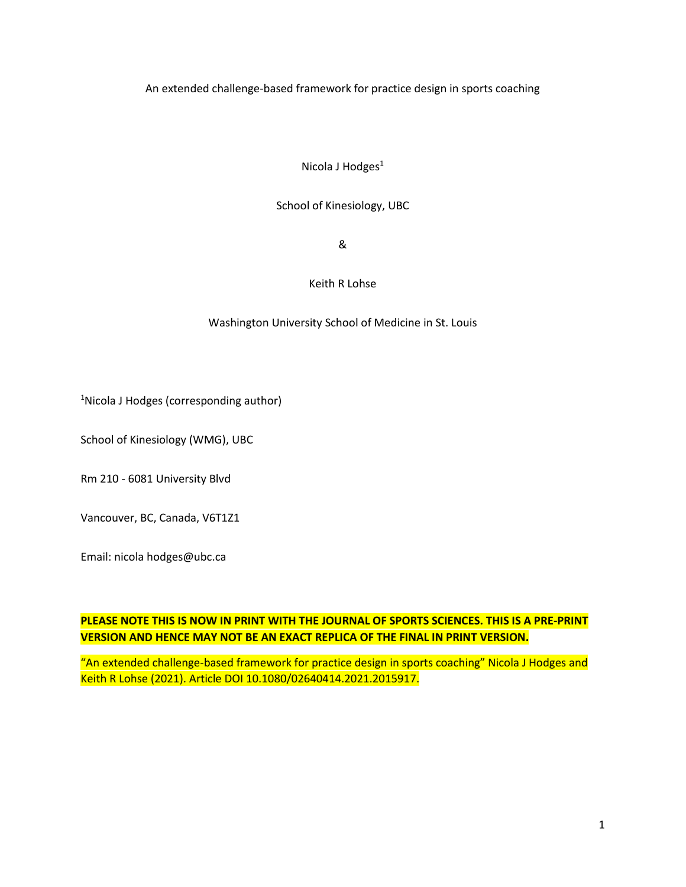An extended challenge-based framework for practice design in sports coaching

Nicola J Hodges<sup>1</sup>

## School of Kinesiology, UBC

&

## Keith R Lohse

## Washington University School of Medicine in St. Louis

<sup>1</sup>Nicola J Hodges (corresponding author)

School of Kinesiology (WMG), UBC

Rm 210 - 6081 University Blvd

Vancouver, BC, Canada, V6T1Z1

Email: nicola hodges@ubc.ca

# **PLEASE NOTE THIS IS NOW IN PRINT WITH THE JOURNAL OF SPORTS SCIENCES. THIS IS A PRE-PRINT VERSION AND HENCE MAY NOT BE AN EXACT REPLICA OF THE FINAL IN PRINT VERSION.**

"An extended challenge-based framework for practice design in sports coaching" Nicola J Hodges and Keith R Lohse (2021). Article DOI 10.1080/02640414.2021.2015917.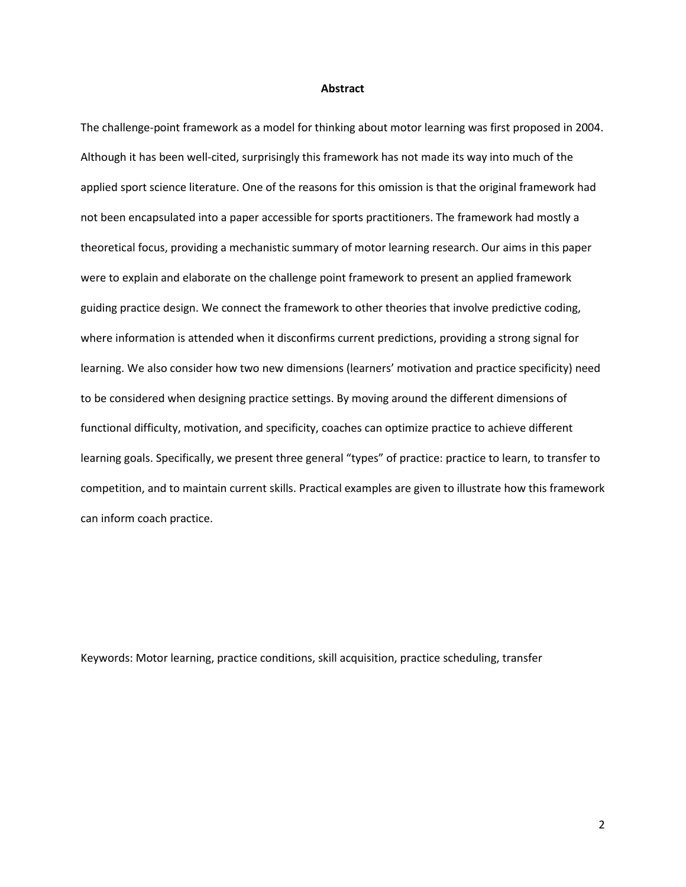#### **Abstract**

The challenge-point framework as a model for thinking about motor learning was first proposed in 2004. Although it has been well-cited, surprisingly this framework has not made its way into much of the applied sport science literature. One of the reasons for this omission is that the original framework had not been encapsulated into a paper accessible for sports practitioners. The framework had mostly a theoretical focus, providing a mechanistic summary of motor learning research. Our aims in this paper were to explain and elaborate on the challenge point framework to present an applied framework guiding practice design. We connect the framework to other theories that involve predictive coding, where information is attended when it disconfirms current predictions, providing a strong signal for learning. We also consider how two new dimensions (learners' motivation and practice specificity) need to be considered when designing practice settings. By moving around the different dimensions of functional difficulty, motivation, and specificity, coaches can optimize practice to achieve different learning goals. Specifically, we present three general "types" of practice: practice to learn, to transfer to competition, and to maintain current skills. Practical examples are given to illustrate how this framework can inform coach practice.

Keywords: Motor learning, practice conditions, skill acquisition, practice scheduling, transfer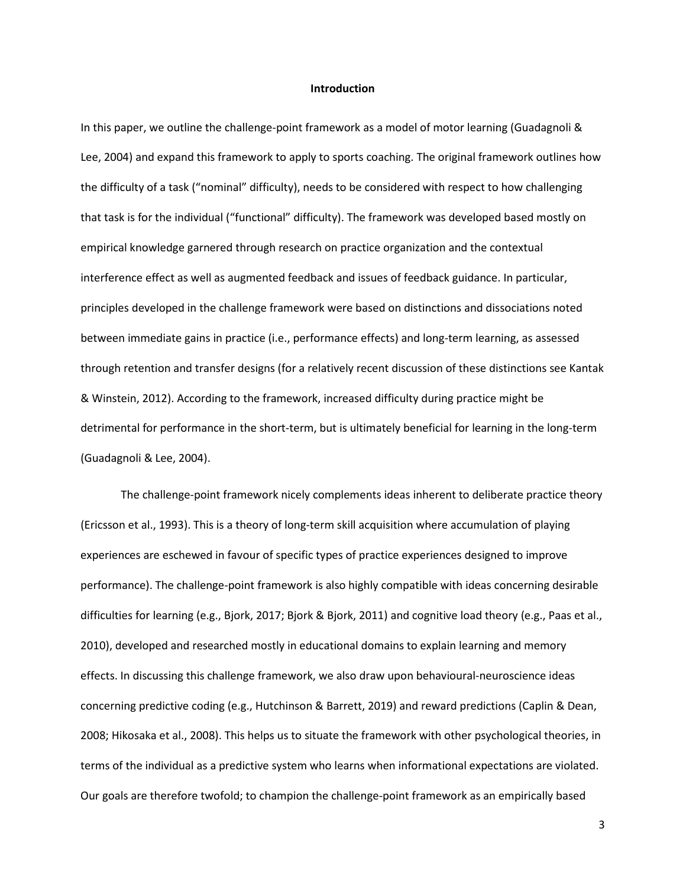#### **Introduction**

In this paper, we outline the challenge-point framework as a model of motor learning (Guadagnoli & Lee, 2004) and expand this framework to apply to sports coaching. The original framework outlines how the difficulty of a task ("nominal" difficulty), needs to be considered with respect to how challenging that task is for the individual ("functional" difficulty). The framework was developed based mostly on empirical knowledge garnered through research on practice organization and the contextual interference effect as well as augmented feedback and issues of feedback guidance. In particular, principles developed in the challenge framework were based on distinctions and dissociations noted between immediate gains in practice (i.e., performance effects) and long-term learning, as assessed through retention and transfer designs (for a relatively recent discussion of these distinctions see Kantak & Winstein, 2012). According to the framework, increased difficulty during practice might be detrimental for performance in the short-term, but is ultimately beneficial for learning in the long-term (Guadagnoli & Lee, 2004).

The challenge-point framework nicely complements ideas inherent to deliberate practice theory (Ericsson et al., 1993). This is a theory of long-term skill acquisition where accumulation of playing experiences are eschewed in favour of specific types of practice experiences designed to improve performance). The challenge-point framework is also highly compatible with ideas concerning desirable difficulties for learning (e.g., Bjork, 2017; Bjork & Bjork, 2011) and cognitive load theory (e.g., Paas et al., 2010), developed and researched mostly in educational domains to explain learning and memory effects. In discussing this challenge framework, we also draw upon behavioural-neuroscience ideas concerning predictive coding (e.g., Hutchinson & Barrett, 2019) and reward predictions (Caplin & Dean, 2008; Hikosaka et al., 2008). This helps us to situate the framework with other psychological theories, in terms of the individual as a predictive system who learns when informational expectations are violated. Our goals are therefore twofold; to champion the challenge-point framework as an empirically based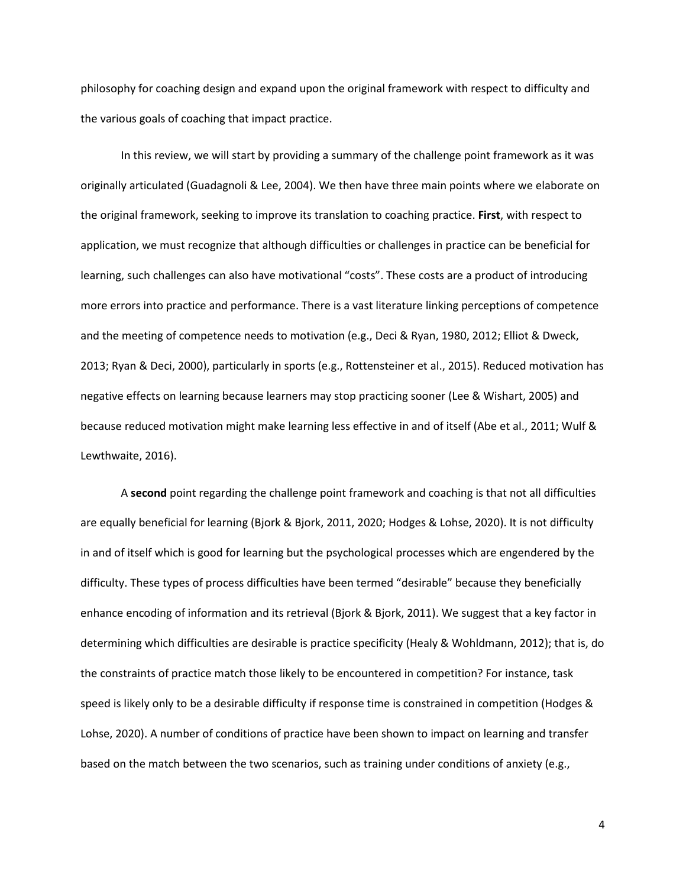philosophy for coaching design and expand upon the original framework with respect to difficulty and the various goals of coaching that impact practice.

In this review, we will start by providing a summary of the challenge point framework as it was originally articulated (Guadagnoli & Lee, 2004). We then have three main points where we elaborate on the original framework, seeking to improve its translation to coaching practice. **First**, with respect to application, we must recognize that although difficulties or challenges in practice can be beneficial for learning, such challenges can also have motivational "costs". These costs are a product of introducing more errors into practice and performance. There is a vast literature linking perceptions of competence and the meeting of competence needs to motivation (e.g., Deci & Ryan, 1980, 2012; Elliot & Dweck, 2013; Ryan & Deci, 2000), particularly in sports (e.g., Rottensteiner et al., 2015). Reduced motivation has negative effects on learning because learners may stop practicing sooner (Lee & Wishart, 2005) and because reduced motivation might make learning less effective in and of itself (Abe et al., 2011; Wulf & Lewthwaite, 2016).

A **second** point regarding the challenge point framework and coaching is that not all difficulties are equally beneficial for learning (Bjork & Bjork, 2011, 2020; Hodges & Lohse, 2020). It is not difficulty in and of itself which is good for learning but the psychological processes which are engendered by the difficulty. These types of process difficulties have been termed "desirable" because they beneficially enhance encoding of information and its retrieval (Bjork & Bjork, 2011). We suggest that a key factor in determining which difficulties are desirable is practice specificity (Healy & Wohldmann, 2012); that is, do the constraints of practice match those likely to be encountered in competition? For instance, task speed is likely only to be a desirable difficulty if response time is constrained in competition (Hodges & Lohse, 2020). A number of conditions of practice have been shown to impact on learning and transfer based on the match between the two scenarios, such as training under conditions of anxiety (e.g.,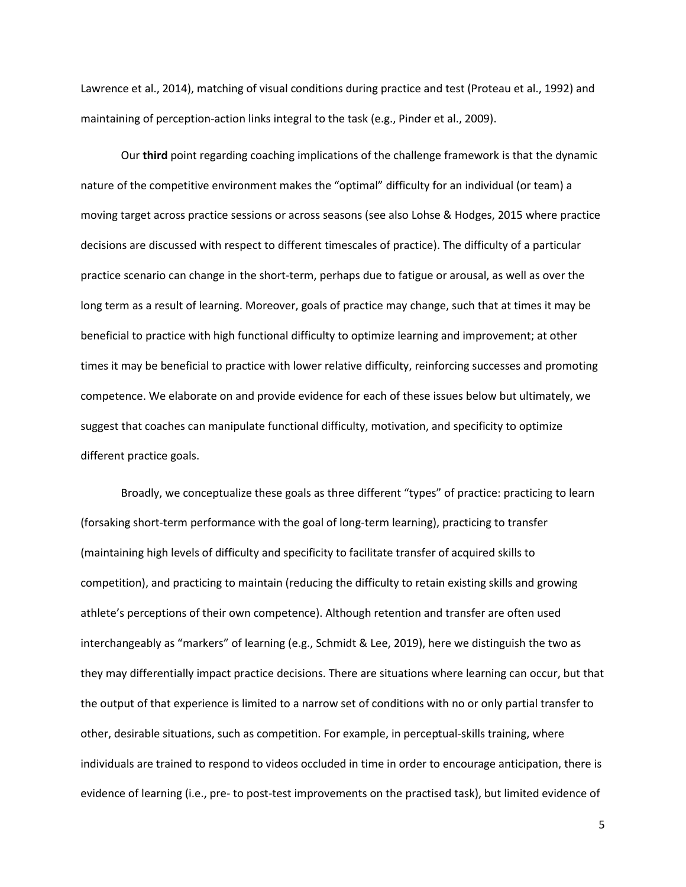Lawrence et al., 2014), matching of visual conditions during practice and test (Proteau et al., 1992) and maintaining of perception-action links integral to the task (e.g., Pinder et al., 2009).

Our **third** point regarding coaching implications of the challenge framework is that the dynamic nature of the competitive environment makes the "optimal" difficulty for an individual (or team) a moving target across practice sessions or across seasons (see also Lohse & Hodges, 2015 where practice decisions are discussed with respect to different timescales of practice). The difficulty of a particular practice scenario can change in the short-term, perhaps due to fatigue or arousal, as well as over the long term as a result of learning. Moreover, goals of practice may change, such that at times it may be beneficial to practice with high functional difficulty to optimize learning and improvement; at other times it may be beneficial to practice with lower relative difficulty, reinforcing successes and promoting competence. We elaborate on and provide evidence for each of these issues below but ultimately, we suggest that coaches can manipulate functional difficulty, motivation, and specificity to optimize different practice goals.

Broadly, we conceptualize these goals as three different "types" of practice: practicing to learn (forsaking short-term performance with the goal of long-term learning), practicing to transfer (maintaining high levels of difficulty and specificity to facilitate transfer of acquired skills to competition), and practicing to maintain (reducing the difficulty to retain existing skills and growing athlete's perceptions of their own competence). Although retention and transfer are often used interchangeably as "markers" of learning (e.g., Schmidt & Lee, 2019), here we distinguish the two as they may differentially impact practice decisions. There are situations where learning can occur, but that the output of that experience is limited to a narrow set of conditions with no or only partial transfer to other, desirable situations, such as competition. For example, in perceptual-skills training, where individuals are trained to respond to videos occluded in time in order to encourage anticipation, there is evidence of learning (i.e., pre- to post-test improvements on the practised task), but limited evidence of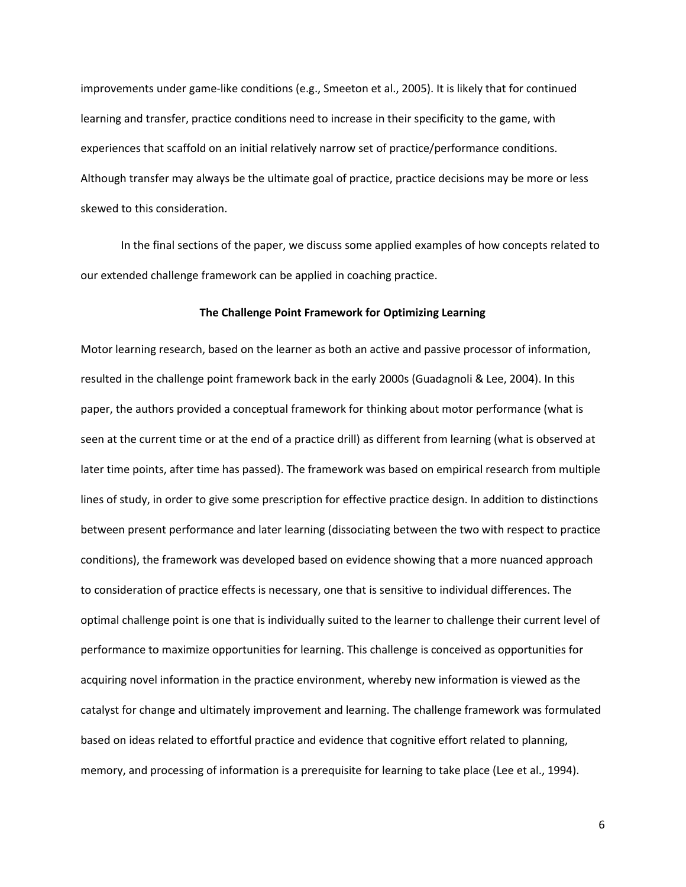improvements under game-like conditions (e.g., Smeeton et al., 2005). It is likely that for continued learning and transfer, practice conditions need to increase in their specificity to the game, with experiences that scaffold on an initial relatively narrow set of practice/performance conditions. Although transfer may always be the ultimate goal of practice, practice decisions may be more or less skewed to this consideration.

In the final sections of the paper, we discuss some applied examples of how concepts related to our extended challenge framework can be applied in coaching practice.

### **The Challenge Point Framework for Optimizing Learning**

Motor learning research, based on the learner as both an active and passive processor of information, resulted in the challenge point framework back in the early 2000s (Guadagnoli & Lee, 2004). In this paper, the authors provided a conceptual framework for thinking about motor performance (what is seen at the current time or at the end of a practice drill) as different from learning (what is observed at later time points, after time has passed). The framework was based on empirical research from multiple lines of study, in order to give some prescription for effective practice design. In addition to distinctions between present performance and later learning (dissociating between the two with respect to practice conditions), the framework was developed based on evidence showing that a more nuanced approach to consideration of practice effects is necessary, one that is sensitive to individual differences. The optimal challenge point is one that is individually suited to the learner to challenge their current level of performance to maximize opportunities for learning. This challenge is conceived as opportunities for acquiring novel information in the practice environment, whereby new information is viewed as the catalyst for change and ultimately improvement and learning. The challenge framework was formulated based on ideas related to effortful practice and evidence that cognitive effort related to planning, memory, and processing of information is a prerequisite for learning to take place (Lee et al., 1994).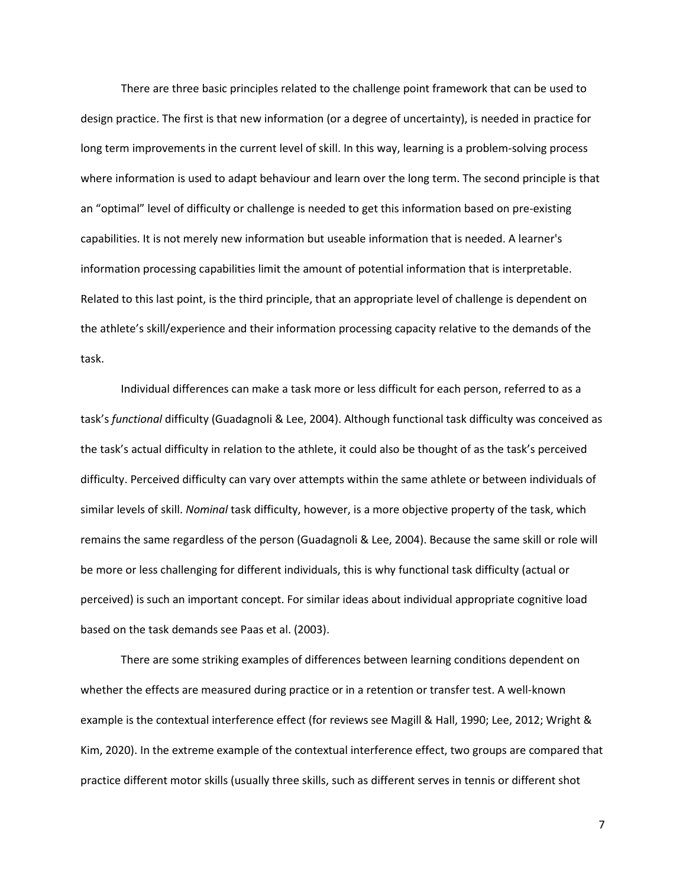There are three basic principles related to the challenge point framework that can be used to design practice. The first is that new information (or a degree of uncertainty), is needed in practice for long term improvements in the current level of skill. In this way, learning is a problem-solving process where information is used to adapt behaviour and learn over the long term. The second principle is that an "optimal" level of difficulty or challenge is needed to get this information based on pre-existing capabilities. It is not merely new information but useable information that is needed. A learner's information processing capabilities limit the amount of potential information that is interpretable. Related to this last point, is the third principle, that an appropriate level of challenge is dependent on the athlete's skill/experience and their information processing capacity relative to the demands of the task.

Individual differences can make a task more or less difficult for each person, referred to as a task's *functional* difficulty (Guadagnoli & Lee, 2004). Although functional task difficulty was conceived as the task's actual difficulty in relation to the athlete, it could also be thought of as the task's perceived difficulty. Perceived difficulty can vary over attempts within the same athlete or between individuals of similar levels of skill. *Nominal* task difficulty, however, is a more objective property of the task, which remains the same regardless of the person (Guadagnoli & Lee, 2004). Because the same skill or role will be more or less challenging for different individuals, this is why functional task difficulty (actual or perceived) is such an important concept. For similar ideas about individual appropriate cognitive load based on the task demands see Paas et al. (2003).

There are some striking examples of differences between learning conditions dependent on whether the effects are measured during practice or in a retention or transfer test. A well-known example is the contextual interference effect (for reviews see Magill & Hall, 1990; Lee, 2012; Wright & Kim, 2020). In the extreme example of the contextual interference effect, two groups are compared that practice different motor skills (usually three skills, such as different serves in tennis or different shot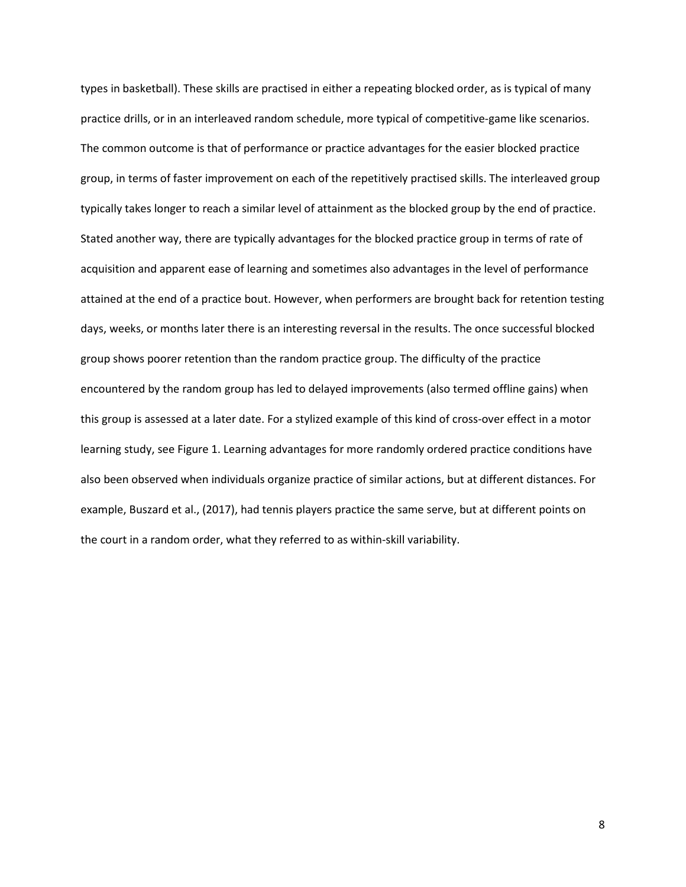types in basketball). These skills are practised in either a repeating blocked order, as is typical of many practice drills, or in an interleaved random schedule, more typical of competitive-game like scenarios. The common outcome is that of performance or practice advantages for the easier blocked practice group, in terms of faster improvement on each of the repetitively practised skills. The interleaved group typically takes longer to reach a similar level of attainment as the blocked group by the end of practice. Stated another way, there are typically advantages for the blocked practice group in terms of rate of acquisition and apparent ease of learning and sometimes also advantages in the level of performance attained at the end of a practice bout. However, when performers are brought back for retention testing days, weeks, or months later there is an interesting reversal in the results. The once successful blocked group shows poorer retention than the random practice group. The difficulty of the practice encountered by the random group has led to delayed improvements (also termed offline gains) when this group is assessed at a later date. For a stylized example of this kind of cross-over effect in a motor learning study, see Figure 1. Learning advantages for more randomly ordered practice conditions have also been observed when individuals organize practice of similar actions, but at different distances. For example, Buszard et al., (2017), had tennis players practice the same serve, but at different points on the court in a random order, what they referred to as within-skill variability.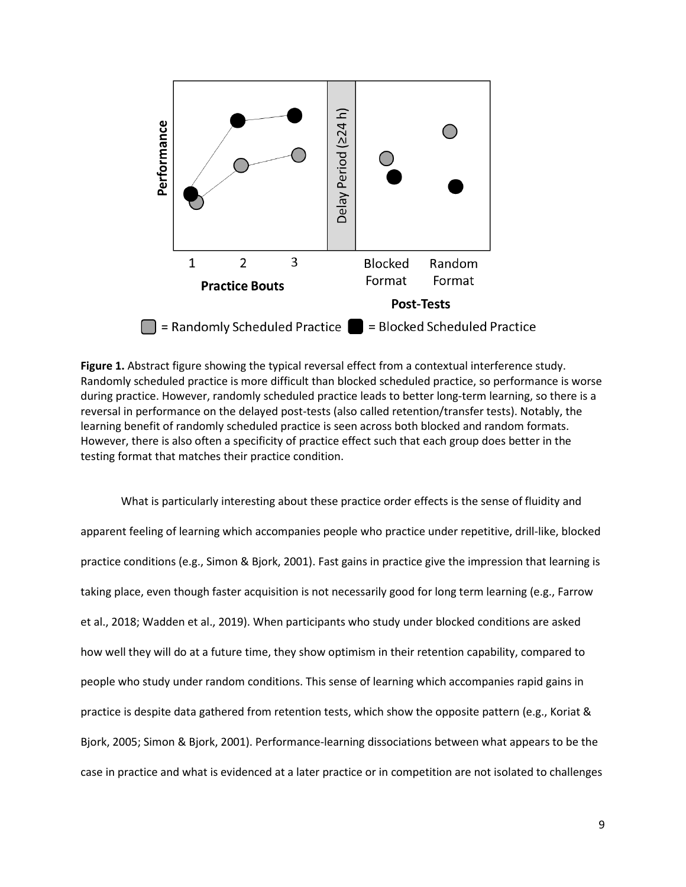

**Figure 1.** Abstract figure showing the typical reversal effect from a contextual interference study. Randomly scheduled practice is more difficult than blocked scheduled practice, so performance is worse during practice. However, randomly scheduled practice leads to better long-term learning, so there is a reversal in performance on the delayed post-tests (also called retention/transfer tests). Notably, the learning benefit of randomly scheduled practice is seen across both blocked and random formats. However, there is also often a specificity of practice effect such that each group does better in the testing format that matches their practice condition.

What is particularly interesting about these practice order effects is the sense of fluidity and apparent feeling of learning which accompanies people who practice under repetitive, drill-like, blocked practice conditions (e.g., Simon & Bjork, 2001). Fast gains in practice give the impression that learning is taking place, even though faster acquisition is not necessarily good for long term learning (e.g., Farrow et al., 2018; Wadden et al., 2019). When participants who study under blocked conditions are asked how well they will do at a future time, they show optimism in their retention capability, compared to people who study under random conditions. This sense of learning which accompanies rapid gains in practice is despite data gathered from retention tests, which show the opposite pattern (e.g., Koriat & Bjork, 2005; Simon & Bjork, 2001). Performance-learning dissociations between what appears to be the case in practice and what is evidenced at a later practice or in competition are not isolated to challenges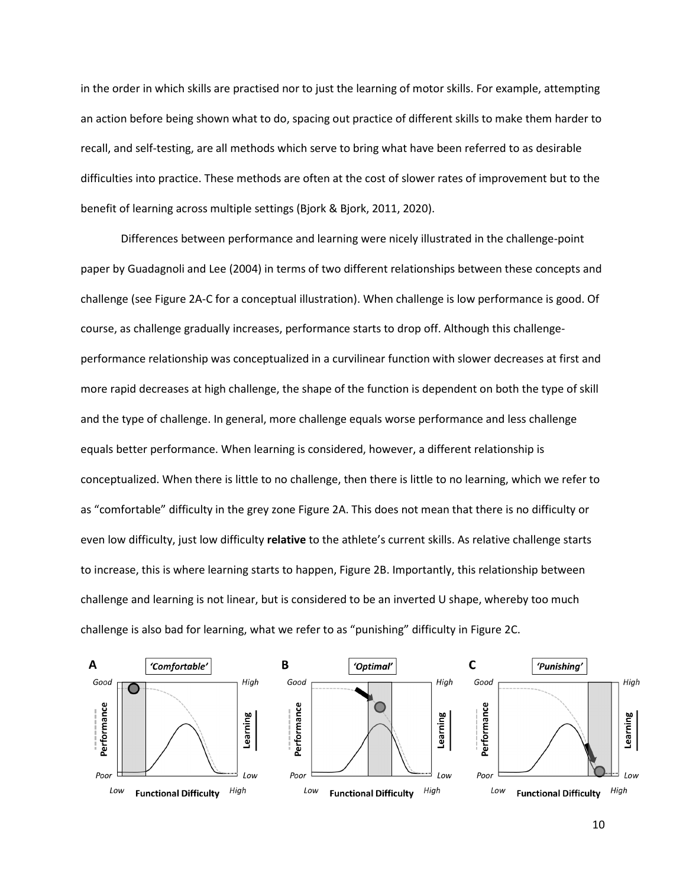in the order in which skills are practised nor to just the learning of motor skills. For example, attempting an action before being shown what to do, spacing out practice of different skills to make them harder to recall, and self-testing, are all methods which serve to bring what have been referred to as desirable difficulties into practice. These methods are often at the cost of slower rates of improvement but to the benefit of learning across multiple settings (Bjork & Bjork, 2011, 2020).

Differences between performance and learning were nicely illustrated in the challenge-point paper by Guadagnoli and Lee (2004) in terms of two different relationships between these concepts and challenge (see Figure 2A-C for a conceptual illustration). When challenge is low performance is good. Of course, as challenge gradually increases, performance starts to drop off. Although this challengeperformance relationship was conceptualized in a curvilinear function with slower decreases at first and more rapid decreases at high challenge, the shape of the function is dependent on both the type of skill and the type of challenge. In general, more challenge equals worse performance and less challenge equals better performance. When learning is considered, however, a different relationship is conceptualized. When there is little to no challenge, then there is little to no learning, which we refer to as "comfortable" difficulty in the grey zone Figure 2A. This does not mean that there is no difficulty or even low difficulty, just low difficulty **relative** to the athlete's current skills. As relative challenge starts to increase, this is where learning starts to happen, Figure 2B. Importantly, this relationship between challenge and learning is not linear, but is considered to be an inverted U shape, whereby too much challenge is also bad for learning, what we refer to as "punishing" difficulty in Figure 2C.

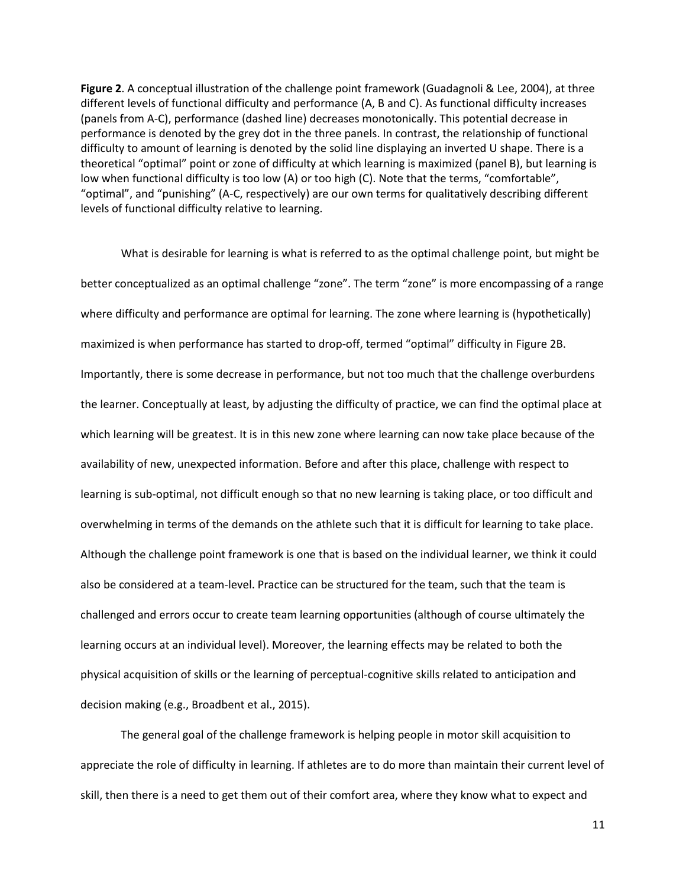**Figure 2**. A conceptual illustration of the challenge point framework (Guadagnoli & Lee, 2004), at three different levels of functional difficulty and performance (A, B and C). As functional difficulty increases (panels from A-C), performance (dashed line) decreases monotonically. This potential decrease in performance is denoted by the grey dot in the three panels. In contrast, the relationship of functional difficulty to amount of learning is denoted by the solid line displaying an inverted U shape. There is a theoretical "optimal" point or zone of difficulty at which learning is maximized (panel B), but learning is low when functional difficulty is too low (A) or too high (C). Note that the terms, "comfortable", "optimal", and "punishing" (A-C, respectively) are our own terms for qualitatively describing different levels of functional difficulty relative to learning.

What is desirable for learning is what is referred to as the optimal challenge point, but might be better conceptualized as an optimal challenge "zone". The term "zone" is more encompassing of a range where difficulty and performance are optimal for learning. The zone where learning is (hypothetically) maximized is when performance has started to drop-off, termed "optimal" difficulty in Figure 2B. Importantly, there is some decrease in performance, but not too much that the challenge overburdens the learner. Conceptually at least, by adjusting the difficulty of practice, we can find the optimal place at which learning will be greatest. It is in this new zone where learning can now take place because of the availability of new, unexpected information. Before and after this place, challenge with respect to learning is sub-optimal, not difficult enough so that no new learning is taking place, or too difficult and overwhelming in terms of the demands on the athlete such that it is difficult for learning to take place. Although the challenge point framework is one that is based on the individual learner, we think it could also be considered at a team-level. Practice can be structured for the team, such that the team is challenged and errors occur to create team learning opportunities (although of course ultimately the learning occurs at an individual level). Moreover, the learning effects may be related to both the physical acquisition of skills or the learning of perceptual-cognitive skills related to anticipation and decision making (e.g., Broadbent et al., 2015).

The general goal of the challenge framework is helping people in motor skill acquisition to appreciate the role of difficulty in learning. If athletes are to do more than maintain their current level of skill, then there is a need to get them out of their comfort area, where they know what to expect and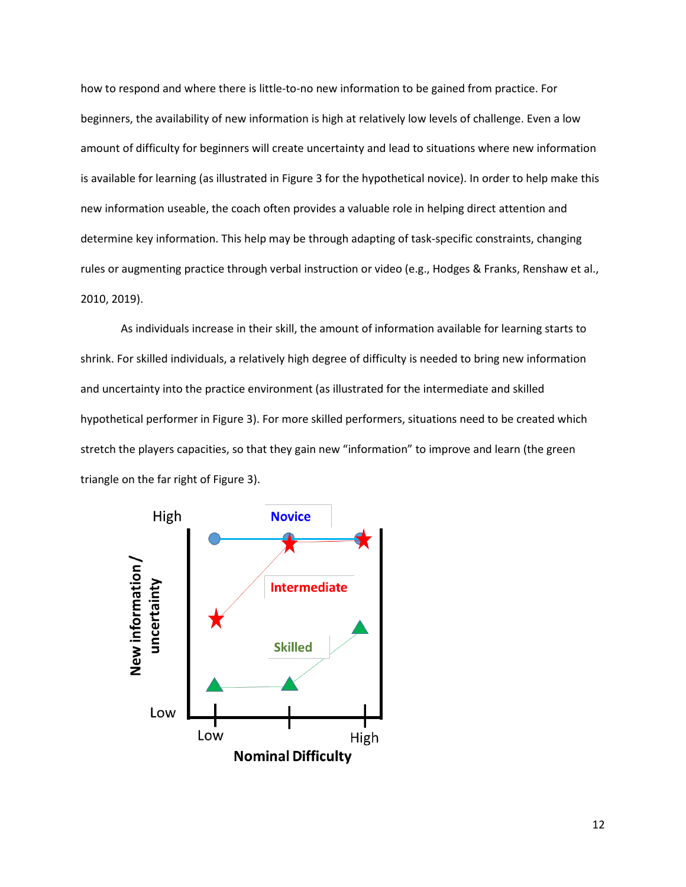how to respond and where there is little-to-no new information to be gained from practice. For beginners, the availability of new information is high at relatively low levels of challenge. Even a low amount of difficulty for beginners will create uncertainty and lead to situations where new information is available for learning (as illustrated in Figure 3 for the hypothetical novice). In order to help make this new information useable, the coach often provides a valuable role in helping direct attention and determine key information. This help may be through adapting of task-specific constraints, changing rules or augmenting practice through verbal instruction or video (e.g., Hodges & Franks, Renshaw et al., 2010, 2019).

As individuals increase in their skill, the amount of information available for learning starts to shrink. For skilled individuals, a relatively high degree of difficulty is needed to bring new information and uncertainty into the practice environment (as illustrated for the intermediate and skilled hypothetical performer in Figure 3). For more skilled performers, situations need to be created which stretch the players capacities, so that they gain new "information" to improve and learn (the green triangle on the far right of Figure 3).

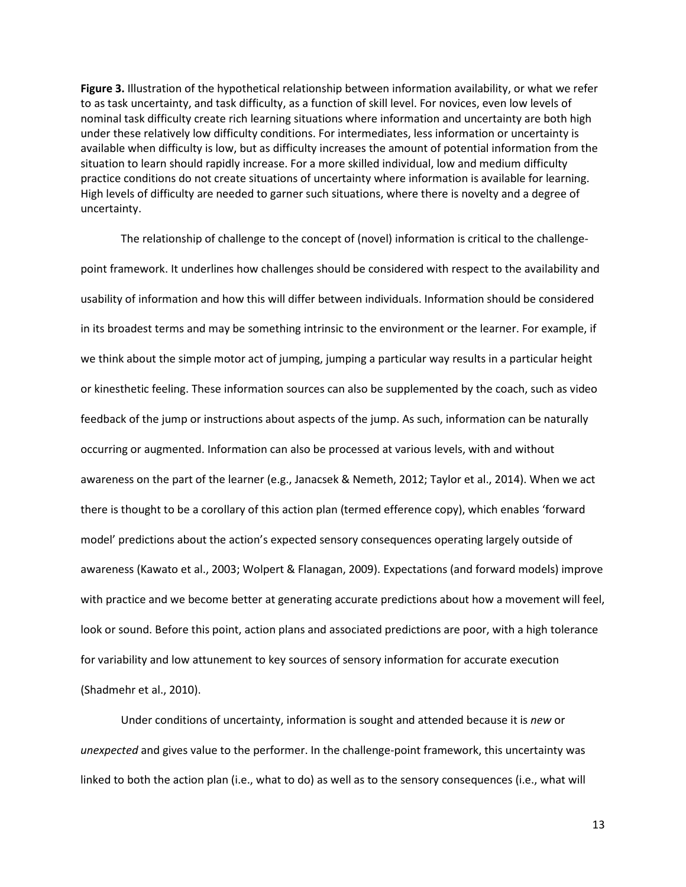**Figure 3.** Illustration of the hypothetical relationship between information availability, or what we refer to as task uncertainty, and task difficulty, as a function of skill level. For novices, even low levels of nominal task difficulty create rich learning situations where information and uncertainty are both high under these relatively low difficulty conditions. For intermediates, less information or uncertainty is available when difficulty is low, but as difficulty increases the amount of potential information from the situation to learn should rapidly increase. For a more skilled individual, low and medium difficulty practice conditions do not create situations of uncertainty where information is available for learning. High levels of difficulty are needed to garner such situations, where there is novelty and a degree of uncertainty.

The relationship of challenge to the concept of (novel) information is critical to the challengepoint framework. It underlines how challenges should be considered with respect to the availability and usability of information and how this will differ between individuals. Information should be considered in its broadest terms and may be something intrinsic to the environment or the learner. For example, if we think about the simple motor act of jumping, jumping a particular way results in a particular height or kinesthetic feeling. These information sources can also be supplemented by the coach, such as video feedback of the jump or instructions about aspects of the jump. As such, information can be naturally occurring or augmented. Information can also be processed at various levels, with and without awareness on the part of the learner (e.g., Janacsek & Nemeth, 2012; Taylor et al., 2014). When we act there is thought to be a corollary of this action plan (termed efference copy), which enables 'forward model' predictions about the action's expected sensory consequences operating largely outside of awareness (Kawato et al., 2003; Wolpert & Flanagan, 2009). Expectations (and forward models) improve with practice and we become better at generating accurate predictions about how a movement will feel, look or sound. Before this point, action plans and associated predictions are poor, with a high tolerance for variability and low attunement to key sources of sensory information for accurate execution (Shadmehr et al., 2010).

Under conditions of uncertainty, information is sought and attended because it is *new* or *unexpected* and gives value to the performer. In the challenge-point framework, this uncertainty was linked to both the action plan (i.e., what to do) as well as to the sensory consequences (i.e., what will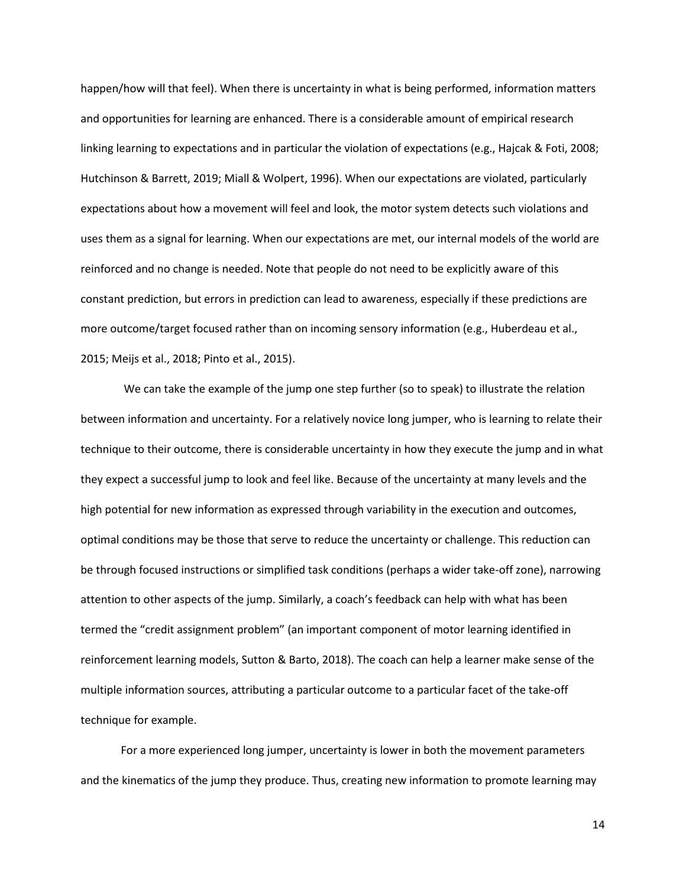happen/how will that feel). When there is uncertainty in what is being performed, information matters and opportunities for learning are enhanced. There is a considerable amount of empirical research linking learning to expectations and in particular the violation of expectations (e.g., Hajcak & Foti, 2008; Hutchinson & Barrett, 2019; Miall & Wolpert, 1996). When our expectations are violated, particularly expectations about how a movement will feel and look, the motor system detects such violations and uses them as a signal for learning. When our expectations are met, our internal models of the world are reinforced and no change is needed. Note that people do not need to be explicitly aware of this constant prediction, but errors in prediction can lead to awareness, especially if these predictions are more outcome/target focused rather than on incoming sensory information (e.g., Huberdeau et al., 2015; Meijs et al., 2018; Pinto et al., 2015).

We can take the example of the jump one step further (so to speak) to illustrate the relation between information and uncertainty. For a relatively novice long jumper, who is learning to relate their technique to their outcome, there is considerable uncertainty in how they execute the jump and in what they expect a successful jump to look and feel like. Because of the uncertainty at many levels and the high potential for new information as expressed through variability in the execution and outcomes, optimal conditions may be those that serve to reduce the uncertainty or challenge. This reduction can be through focused instructions or simplified task conditions (perhaps a wider take-off zone), narrowing attention to other aspects of the jump. Similarly, a coach's feedback can help with what has been termed the "credit assignment problem" (an important component of motor learning identified in reinforcement learning models, Sutton & Barto, 2018). The coach can help a learner make sense of the multiple information sources, attributing a particular outcome to a particular facet of the take-off technique for example.

For a more experienced long jumper, uncertainty is lower in both the movement parameters and the kinematics of the jump they produce. Thus, creating new information to promote learning may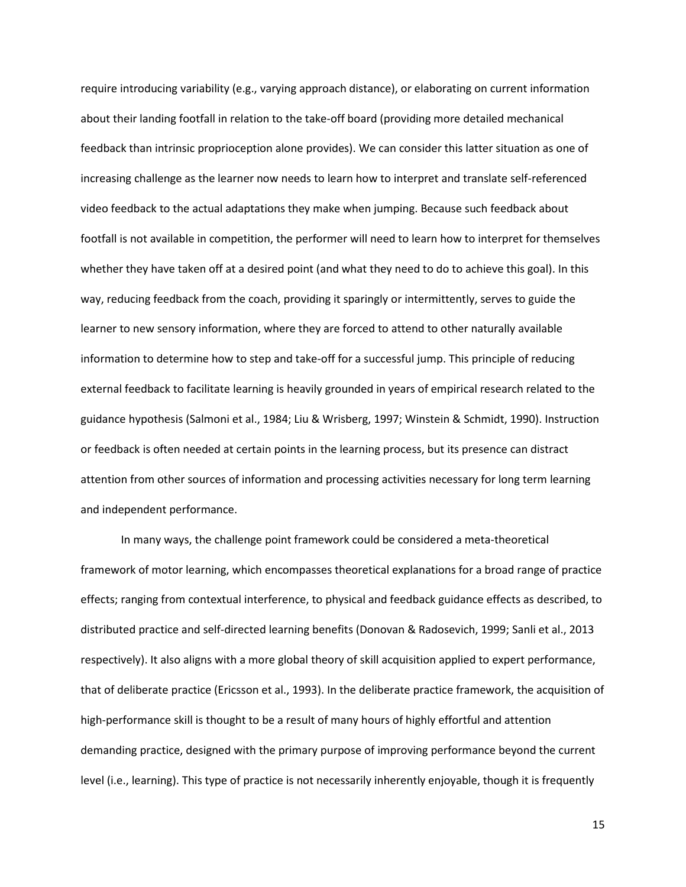require introducing variability (e.g., varying approach distance), or elaborating on current information about their landing footfall in relation to the take-off board (providing more detailed mechanical feedback than intrinsic proprioception alone provides). We can consider this latter situation as one of increasing challenge as the learner now needs to learn how to interpret and translate self-referenced video feedback to the actual adaptations they make when jumping. Because such feedback about footfall is not available in competition, the performer will need to learn how to interpret for themselves whether they have taken off at a desired point (and what they need to do to achieve this goal). In this way, reducing feedback from the coach, providing it sparingly or intermittently, serves to guide the learner to new sensory information, where they are forced to attend to other naturally available information to determine how to step and take-off for a successful jump. This principle of reducing external feedback to facilitate learning is heavily grounded in years of empirical research related to the guidance hypothesis (Salmoni et al., 1984; Liu & Wrisberg, 1997; Winstein & Schmidt, 1990). Instruction or feedback is often needed at certain points in the learning process, but its presence can distract attention from other sources of information and processing activities necessary for long term learning and independent performance.

In many ways, the challenge point framework could be considered a meta-theoretical framework of motor learning, which encompasses theoretical explanations for a broad range of practice effects; ranging from contextual interference, to physical and feedback guidance effects as described, to distributed practice and self-directed learning benefits (Donovan & Radosevich, 1999; Sanli et al., 2013 respectively). It also aligns with a more global theory of skill acquisition applied to expert performance, that of deliberate practice (Ericsson et al., 1993). In the deliberate practice framework, the acquisition of high-performance skill is thought to be a result of many hours of highly effortful and attention demanding practice, designed with the primary purpose of improving performance beyond the current level (i.e., learning). This type of practice is not necessarily inherently enjoyable, though it is frequently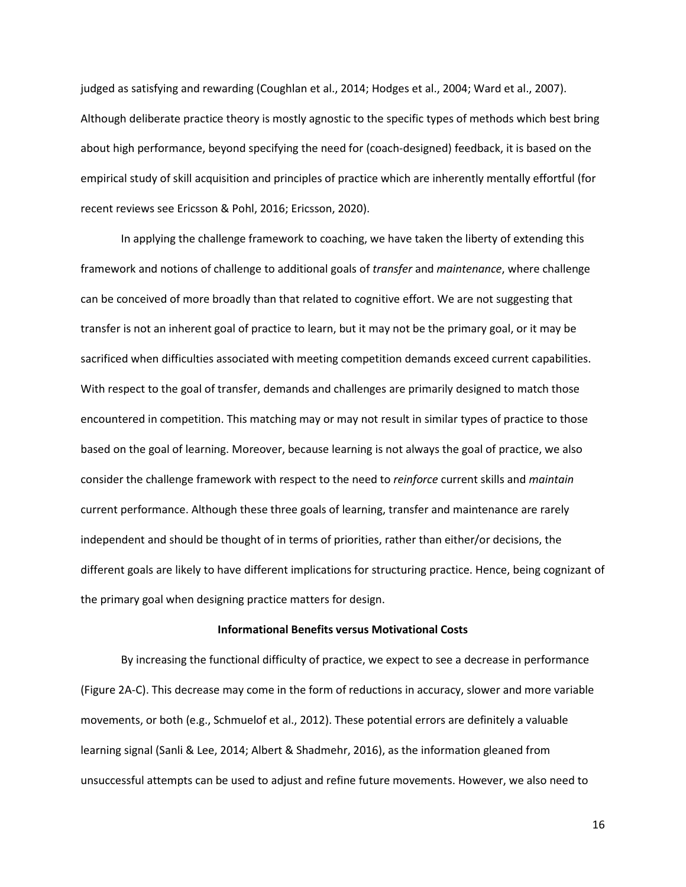judged as satisfying and rewarding (Coughlan et al., 2014; Hodges et al., 2004; Ward et al., 2007). Although deliberate practice theory is mostly agnostic to the specific types of methods which best bring about high performance, beyond specifying the need for (coach-designed) feedback, it is based on the empirical study of skill acquisition and principles of practice which are inherently mentally effortful (for recent reviews see Ericsson & Pohl, 2016; Ericsson, 2020).

In applying the challenge framework to coaching, we have taken the liberty of extending this framework and notions of challenge to additional goals of *transfer* and *maintenance*, where challenge can be conceived of more broadly than that related to cognitive effort. We are not suggesting that transfer is not an inherent goal of practice to learn, but it may not be the primary goal, or it may be sacrificed when difficulties associated with meeting competition demands exceed current capabilities. With respect to the goal of transfer, demands and challenges are primarily designed to match those encountered in competition. This matching may or may not result in similar types of practice to those based on the goal of learning. Moreover, because learning is not always the goal of practice, we also consider the challenge framework with respect to the need to *reinforce* current skills and *maintain* current performance. Although these three goals of learning, transfer and maintenance are rarely independent and should be thought of in terms of priorities, rather than either/or decisions, the different goals are likely to have different implications for structuring practice. Hence, being cognizant of the primary goal when designing practice matters for design.

### **Informational Benefits versus Motivational Costs**

By increasing the functional difficulty of practice, we expect to see a decrease in performance (Figure 2A-C). This decrease may come in the form of reductions in accuracy, slower and more variable movements, or both (e.g., Schmuelof et al., 2012). These potential errors are definitely a valuable learning signal (Sanli & Lee, 2014; Albert & Shadmehr, 2016), as the information gleaned from unsuccessful attempts can be used to adjust and refine future movements. However, we also need to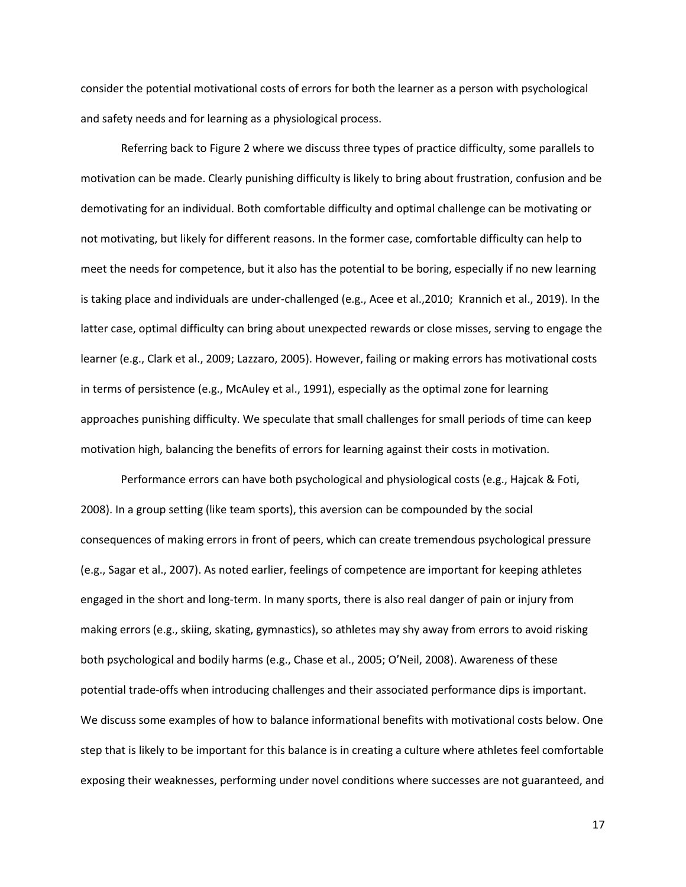consider the potential motivational costs of errors for both the learner as a person with psychological and safety needs and for learning as a physiological process.

Referring back to Figure 2 where we discuss three types of practice difficulty, some parallels to motivation can be made. Clearly punishing difficulty is likely to bring about frustration, confusion and be demotivating for an individual. Both comfortable difficulty and optimal challenge can be motivating or not motivating, but likely for different reasons. In the former case, comfortable difficulty can help to meet the needs for competence, but it also has the potential to be boring, especially if no new learning is taking place and individuals are under-challenged (e.g., Acee et al.,2010; Krannich et al., 2019). In the latter case, optimal difficulty can bring about unexpected rewards or close misses, serving to engage the learner (e.g., Clark et al., 2009; Lazzaro, 2005). However, failing or making errors has motivational costs in terms of persistence (e.g., McAuley et al., 1991), especially as the optimal zone for learning approaches punishing difficulty. We speculate that small challenges for small periods of time can keep motivation high, balancing the benefits of errors for learning against their costs in motivation.

Performance errors can have both psychological and physiological costs (e.g., Hajcak & Foti, 2008). In a group setting (like team sports), this aversion can be compounded by the social consequences of making errors in front of peers, which can create tremendous psychological pressure (e.g., Sagar et al., 2007). As noted earlier, feelings of competence are important for keeping athletes engaged in the short and long-term. In many sports, there is also real danger of pain or injury from making errors (e.g., skiing, skating, gymnastics), so athletes may shy away from errors to avoid risking both psychological and bodily harms (e.g., Chase et al., 2005; O'Neil, 2008). Awareness of these potential trade-offs when introducing challenges and their associated performance dips is important. We discuss some examples of how to balance informational benefits with motivational costs below. One step that is likely to be important for this balance is in creating a culture where athletes feel comfortable exposing their weaknesses, performing under novel conditions where successes are not guaranteed, and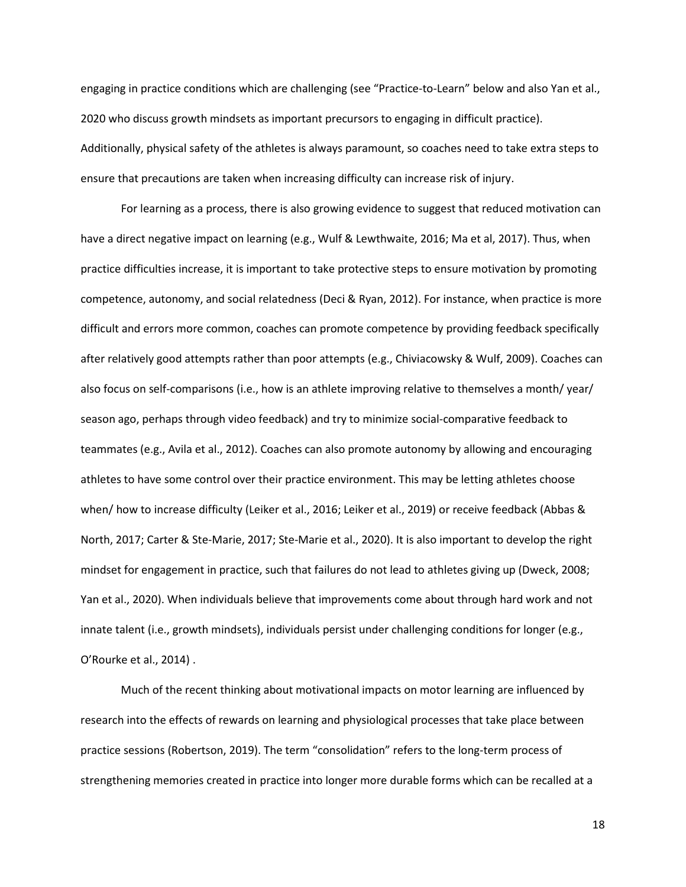engaging in practice conditions which are challenging (see "Practice-to-Learn" below and also Yan et al., 2020 who discuss growth mindsets as important precursors to engaging in difficult practice). Additionally, physical safety of the athletes is always paramount, so coaches need to take extra steps to ensure that precautions are taken when increasing difficulty can increase risk of injury.

For learning as a process, there is also growing evidence to suggest that reduced motivation can have a direct negative impact on learning (e.g., Wulf & Lewthwaite, 2016; Ma et al, 2017). Thus, when practice difficulties increase, it is important to take protective steps to ensure motivation by promoting competence, autonomy, and social relatedness (Deci & Ryan, 2012). For instance, when practice is more difficult and errors more common, coaches can promote competence by providing feedback specifically after relatively good attempts rather than poor attempts (e.g., Chiviacowsky & Wulf, 2009). Coaches can also focus on self-comparisons (i.e., how is an athlete improving relative to themselves a month/ year/ season ago, perhaps through video feedback) and try to minimize social-comparative feedback to teammates (e.g., Avila et al., 2012). Coaches can also promote autonomy by allowing and encouraging athletes to have some control over their practice environment. This may be letting athletes choose when/ how to increase difficulty (Leiker et al., 2016; Leiker et al., 2019) or receive feedback (Abbas & North, 2017; Carter & Ste-Marie, 2017; Ste-Marie et al., 2020). It is also important to develop the right mindset for engagement in practice, such that failures do not lead to athletes giving up (Dweck, 2008; Yan et al., 2020). When individuals believe that improvements come about through hard work and not innate talent (i.e., growth mindsets), individuals persist under challenging conditions for longer (e.g., O'Rourke et al., 2014) .

Much of the recent thinking about motivational impacts on motor learning are influenced by research into the effects of rewards on learning and physiological processes that take place between practice sessions (Robertson, 2019). The term "consolidation" refers to the long-term process of strengthening memories created in practice into longer more durable forms which can be recalled at a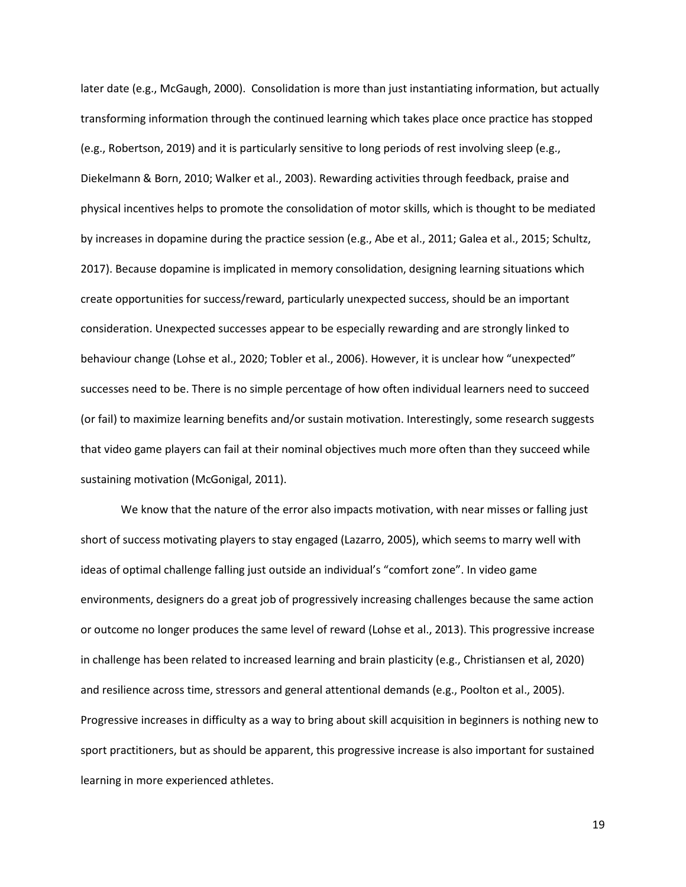later date (e.g., McGaugh, 2000). Consolidation is more than just instantiating information, but actually transforming information through the continued learning which takes place once practice has stopped (e.g., Robertson, 2019) and it is particularly sensitive to long periods of rest involving sleep (e.g., Diekelmann & Born, 2010; Walker et al., 2003). Rewarding activities through feedback, praise and physical incentives helps to promote the consolidation of motor skills, which is thought to be mediated by increases in dopamine during the practice session (e.g., Abe et al., 2011; Galea et al., 2015; Schultz, 2017). Because dopamine is implicated in memory consolidation, designing learning situations which create opportunities for success/reward, particularly unexpected success, should be an important consideration. Unexpected successes appear to be especially rewarding and are strongly linked to behaviour change (Lohse et al., 2020; Tobler et al., 2006). However, it is unclear how "unexpected" successes need to be. There is no simple percentage of how often individual learners need to succeed (or fail) to maximize learning benefits and/or sustain motivation. Interestingly, some research suggests that video game players can fail at their nominal objectives much more often than they succeed while sustaining motivation (McGonigal, 2011).

We know that the nature of the error also impacts motivation, with near misses or falling just short of success motivating players to stay engaged (Lazarro, 2005), which seems to marry well with ideas of optimal challenge falling just outside an individual's "comfort zone". In video game environments, designers do a great job of progressively increasing challenges because the same action or outcome no longer produces the same level of reward (Lohse et al., 2013). This progressive increase in challenge has been related to increased learning and brain plasticity (e.g., Christiansen et al, 2020) and resilience across time, stressors and general attentional demands (e.g., Poolton et al., 2005). Progressive increases in difficulty as a way to bring about skill acquisition in beginners is nothing new to sport practitioners, but as should be apparent, this progressive increase is also important for sustained learning in more experienced athletes.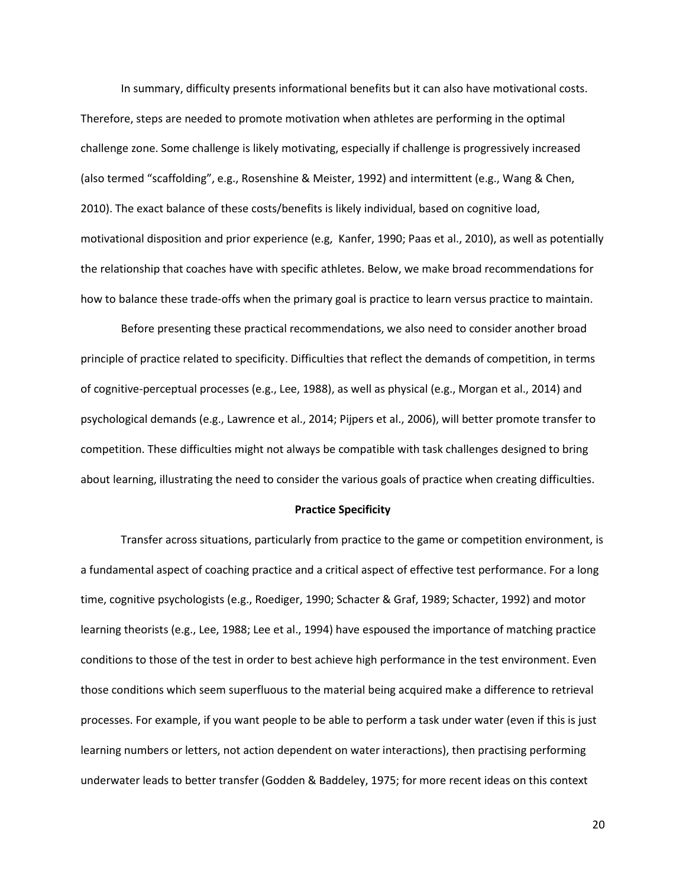In summary, difficulty presents informational benefits but it can also have motivational costs. Therefore, steps are needed to promote motivation when athletes are performing in the optimal challenge zone. Some challenge is likely motivating, especially if challenge is progressively increased (also termed "scaffolding", e.g., Rosenshine & Meister, 1992) and intermittent (e.g., Wang & Chen, 2010). The exact balance of these costs/benefits is likely individual, based on cognitive load, motivational disposition and prior experience (e.g, Kanfer, 1990; Paas et al., 2010), as well as potentially the relationship that coaches have with specific athletes. Below, we make broad recommendations for how to balance these trade-offs when the primary goal is practice to learn versus practice to maintain.

Before presenting these practical recommendations, we also need to consider another broad principle of practice related to specificity. Difficulties that reflect the demands of competition, in terms of cognitive-perceptual processes (e.g., Lee, 1988), as well as physical (e.g., Morgan et al., 2014) and psychological demands (e.g., Lawrence et al., 2014; Pijpers et al., 2006), will better promote transfer to competition. These difficulties might not always be compatible with task challenges designed to bring about learning, illustrating the need to consider the various goals of practice when creating difficulties.

#### **Practice Specificity**

Transfer across situations, particularly from practice to the game or competition environment, is a fundamental aspect of coaching practice and a critical aspect of effective test performance. For a long time, cognitive psychologists (e.g., Roediger, 1990; Schacter & Graf, 1989; Schacter, 1992) and motor learning theorists (e.g., Lee, 1988; Lee et al., 1994) have espoused the importance of matching practice conditions to those of the test in order to best achieve high performance in the test environment. Even those conditions which seem superfluous to the material being acquired make a difference to retrieval processes. For example, if you want people to be able to perform a task under water (even if this is just learning numbers or letters, not action dependent on water interactions), then practising performing underwater leads to better transfer (Godden & Baddeley, 1975; for more recent ideas on this context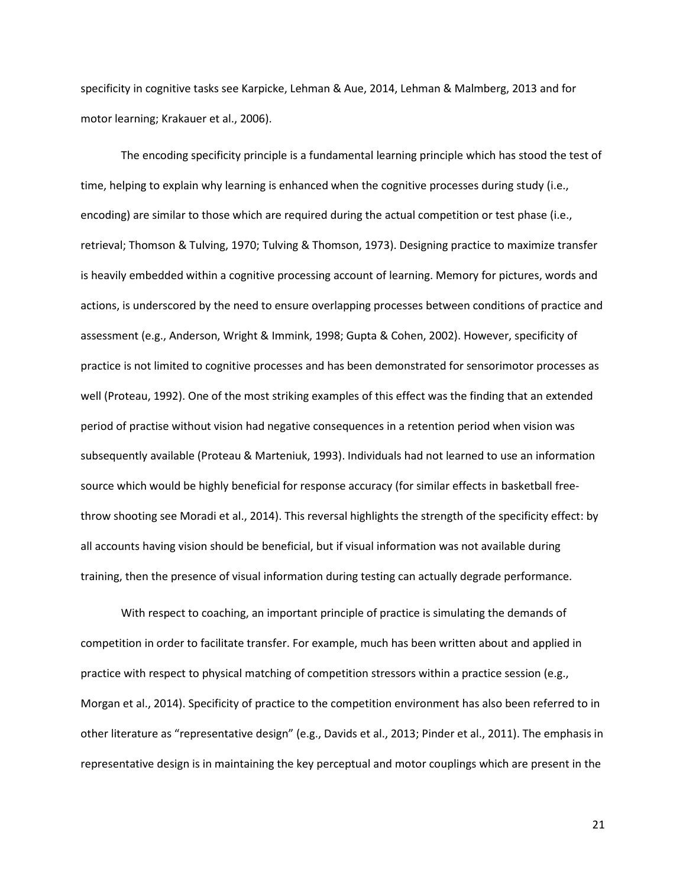specificity in cognitive tasks see Karpicke, Lehman & Aue, 2014, Lehman & Malmberg, 2013 and for motor learning; Krakauer et al., 2006).

The encoding specificity principle is a fundamental learning principle which has stood the test of time, helping to explain why learning is enhanced when the cognitive processes during study (i.e., encoding) are similar to those which are required during the actual competition or test phase (i.e., retrieval; Thomson & Tulving, 1970; Tulving & Thomson, 1973). Designing practice to maximize transfer is heavily embedded within a cognitive processing account of learning. Memory for pictures, words and actions, is underscored by the need to ensure overlapping processes between conditions of practice and assessment (e.g., Anderson, Wright & Immink, 1998; Gupta & Cohen, 2002). However, specificity of practice is not limited to cognitive processes and has been demonstrated for sensorimotor processes as well (Proteau, 1992). One of the most striking examples of this effect was the finding that an extended period of practise without vision had negative consequences in a retention period when vision was subsequently available (Proteau & Marteniuk, 1993). Individuals had not learned to use an information source which would be highly beneficial for response accuracy (for similar effects in basketball freethrow shooting see Moradi et al., 2014). This reversal highlights the strength of the specificity effect: by all accounts having vision should be beneficial, but if visual information was not available during training, then the presence of visual information during testing can actually degrade performance.

With respect to coaching, an important principle of practice is simulating the demands of competition in order to facilitate transfer. For example, much has been written about and applied in practice with respect to physical matching of competition stressors within a practice session (e.g., Morgan et al., 2014). Specificity of practice to the competition environment has also been referred to in other literature as "representative design" (e.g., Davids et al., 2013; Pinder et al., 2011). The emphasis in representative design is in maintaining the key perceptual and motor couplings which are present in the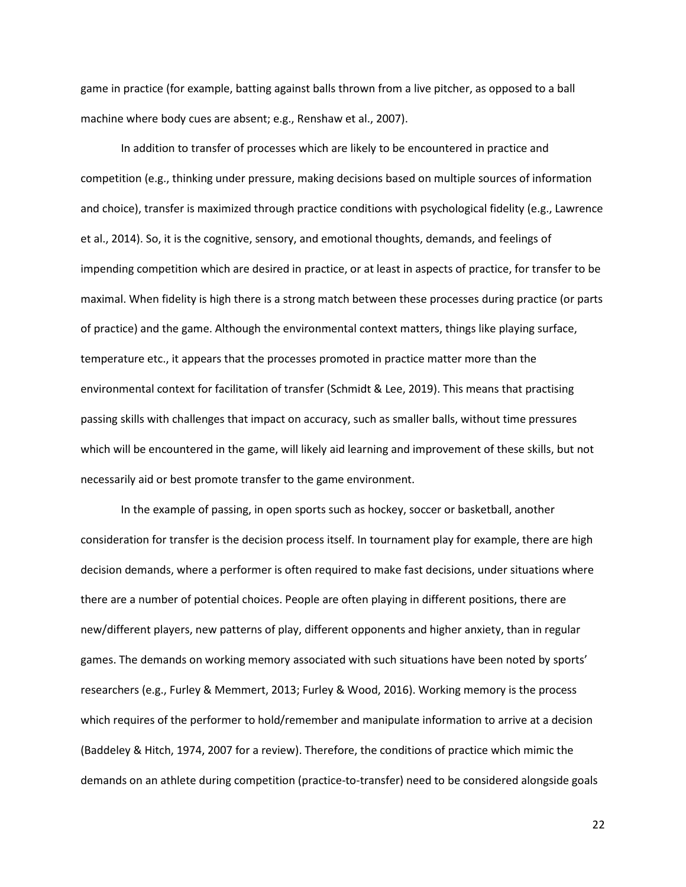game in practice (for example, batting against balls thrown from a live pitcher, as opposed to a ball machine where body cues are absent; e.g., Renshaw et al., 2007).

In addition to transfer of processes which are likely to be encountered in practice and competition (e.g., thinking under pressure, making decisions based on multiple sources of information and choice), transfer is maximized through practice conditions with psychological fidelity (e.g., Lawrence et al., 2014). So, it is the cognitive, sensory, and emotional thoughts, demands, and feelings of impending competition which are desired in practice, or at least in aspects of practice, for transfer to be maximal. When fidelity is high there is a strong match between these processes during practice (or parts of practice) and the game. Although the environmental context matters, things like playing surface, temperature etc., it appears that the processes promoted in practice matter more than the environmental context for facilitation of transfer (Schmidt & Lee, 2019). This means that practising passing skills with challenges that impact on accuracy, such as smaller balls, without time pressures which will be encountered in the game, will likely aid learning and improvement of these skills, but not necessarily aid or best promote transfer to the game environment.

In the example of passing, in open sports such as hockey, soccer or basketball, another consideration for transfer is the decision process itself. In tournament play for example, there are high decision demands, where a performer is often required to make fast decisions, under situations where there are a number of potential choices. People are often playing in different positions, there are new/different players, new patterns of play, different opponents and higher anxiety, than in regular games. The demands on working memory associated with such situations have been noted by sports' researchers (e.g., Furley & Memmert, 2013; Furley & Wood, 2016). Working memory is the process which requires of the performer to hold/remember and manipulate information to arrive at a decision (Baddeley & Hitch, 1974, 2007 for a review). Therefore, the conditions of practice which mimic the demands on an athlete during competition (practice-to-transfer) need to be considered alongside goals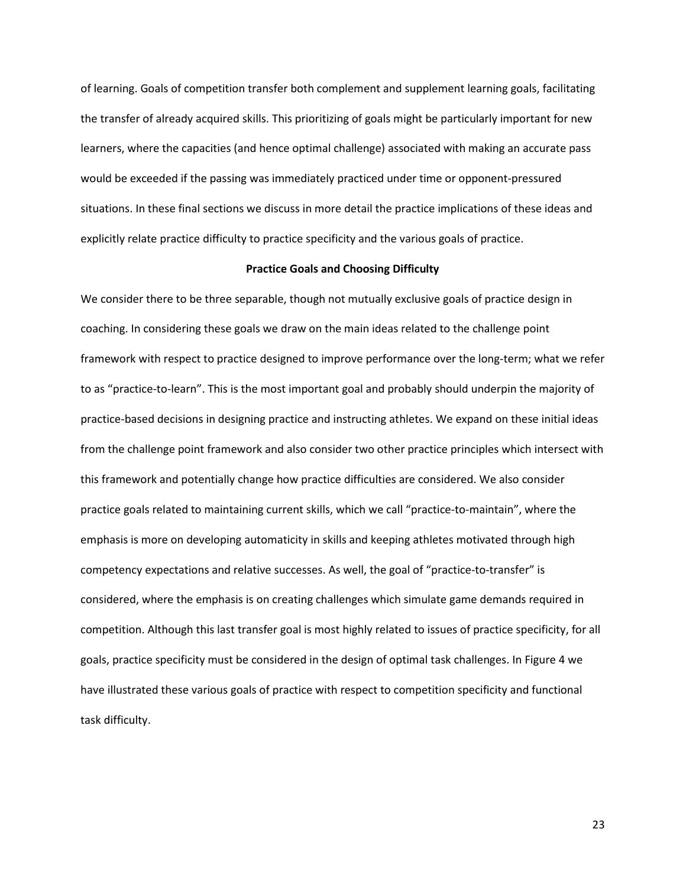of learning. Goals of competition transfer both complement and supplement learning goals, facilitating the transfer of already acquired skills. This prioritizing of goals might be particularly important for new learners, where the capacities (and hence optimal challenge) associated with making an accurate pass would be exceeded if the passing was immediately practiced under time or opponent-pressured situations. In these final sections we discuss in more detail the practice implications of these ideas and explicitly relate practice difficulty to practice specificity and the various goals of practice.

### **Practice Goals and Choosing Difficulty**

We consider there to be three separable, though not mutually exclusive goals of practice design in coaching. In considering these goals we draw on the main ideas related to the challenge point framework with respect to practice designed to improve performance over the long-term; what we refer to as "practice-to-learn". This is the most important goal and probably should underpin the majority of practice-based decisions in designing practice and instructing athletes. We expand on these initial ideas from the challenge point framework and also consider two other practice principles which intersect with this framework and potentially change how practice difficulties are considered. We also consider practice goals related to maintaining current skills, which we call "practice-to-maintain", where the emphasis is more on developing automaticity in skills and keeping athletes motivated through high competency expectations and relative successes. As well, the goal of "practice-to-transfer" is considered, where the emphasis is on creating challenges which simulate game demands required in competition. Although this last transfer goal is most highly related to issues of practice specificity, for all goals, practice specificity must be considered in the design of optimal task challenges. In Figure 4 we have illustrated these various goals of practice with respect to competition specificity and functional task difficulty.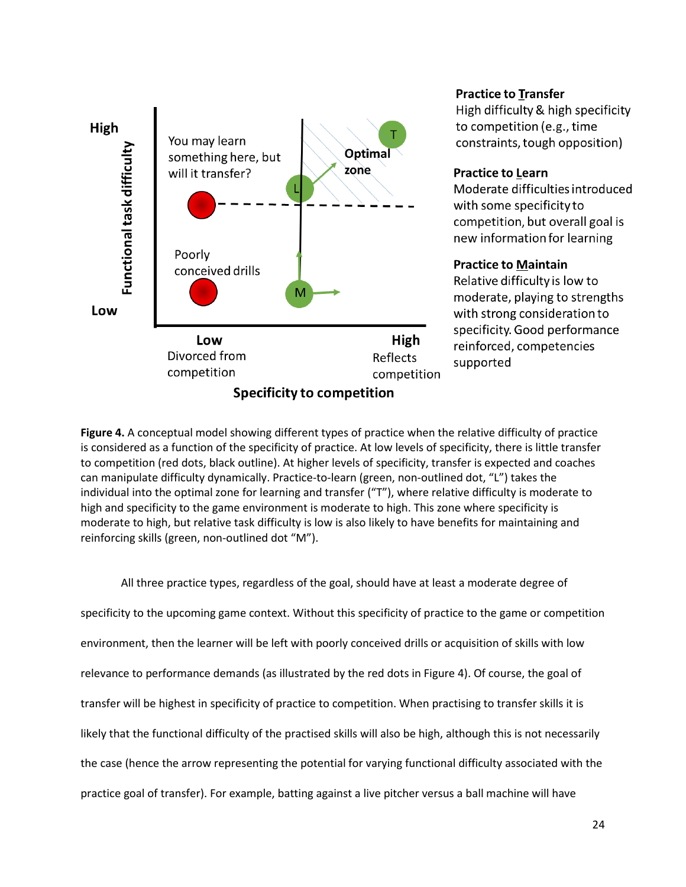

## **Practice to Transfer**

High difficulty & high specificity to competition (e.g., time constraints, tough opposition)

### **Practice to Learn**

Moderate difficulties introduced with some specificity to competition, but overall goal is new information for learning

### **Practice to Maintain**

Relative difficulty is low to moderate, playing to strengths with strong consideration to specificity. Good performance reinforced, competencies supported

**Figure 4.** A conceptual model showing different types of practice when the relative difficulty of practice is considered as a function of the specificity of practice. At low levels of specificity, there is little transfer to competition (red dots, black outline). At higher levels of specificity, transfer is expected and coaches can manipulate difficulty dynamically. Practice-to-learn (green, non-outlined dot, "L") takes the individual into the optimal zone for learning and transfer ("T"), where relative difficulty is moderate to high and specificity to the game environment is moderate to high. This zone where specificity is moderate to high, but relative task difficulty is low is also likely to have benefits for maintaining and reinforcing skills (green, non-outlined dot "M").

All three practice types, regardless of the goal, should have at least a moderate degree of specificity to the upcoming game context. Without this specificity of practice to the game or competition environment, then the learner will be left with poorly conceived drills or acquisition of skills with low relevance to performance demands (as illustrated by the red dots in Figure 4). Of course, the goal of transfer will be highest in specificity of practice to competition. When practising to transfer skills it is likely that the functional difficulty of the practised skills will also be high, although this is not necessarily the case (hence the arrow representing the potential for varying functional difficulty associated with the practice goal of transfer). For example, batting against a live pitcher versus a ball machine will have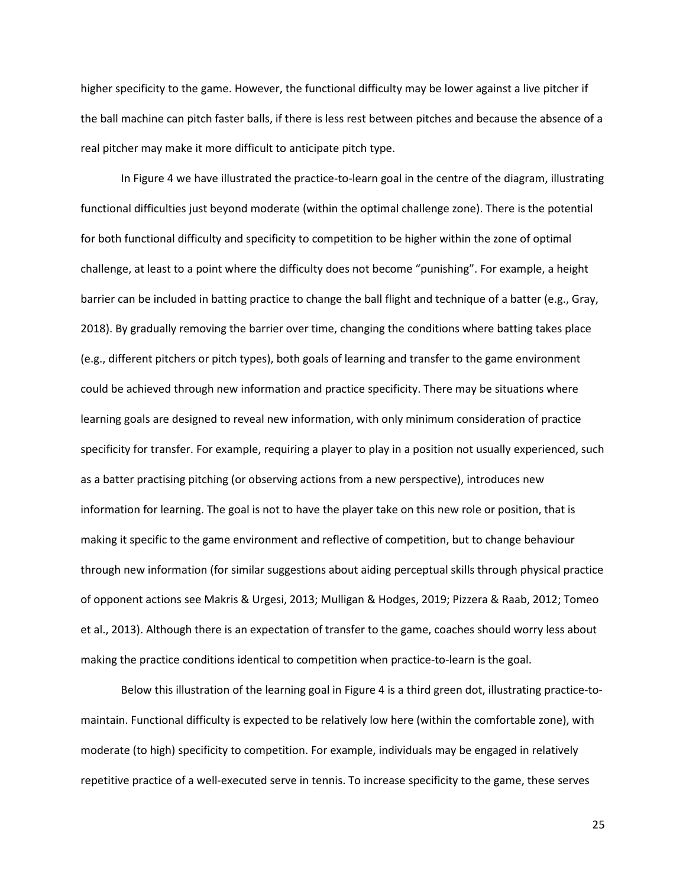higher specificity to the game. However, the functional difficulty may be lower against a live pitcher if the ball machine can pitch faster balls, if there is less rest between pitches and because the absence of a real pitcher may make it more difficult to anticipate pitch type.

In Figure 4 we have illustrated the practice-to-learn goal in the centre of the diagram, illustrating functional difficulties just beyond moderate (within the optimal challenge zone). There is the potential for both functional difficulty and specificity to competition to be higher within the zone of optimal challenge, at least to a point where the difficulty does not become "punishing". For example, a height barrier can be included in batting practice to change the ball flight and technique of a batter (e.g., Gray, 2018). By gradually removing the barrier over time, changing the conditions where batting takes place (e.g., different pitchers or pitch types), both goals of learning and transfer to the game environment could be achieved through new information and practice specificity. There may be situations where learning goals are designed to reveal new information, with only minimum consideration of practice specificity for transfer. For example, requiring a player to play in a position not usually experienced, such as a batter practising pitching (or observing actions from a new perspective), introduces new information for learning. The goal is not to have the player take on this new role or position, that is making it specific to the game environment and reflective of competition, but to change behaviour through new information (for similar suggestions about aiding perceptual skills through physical practice of opponent actions see Makris & Urgesi, 2013; Mulligan & Hodges, 2019; Pizzera & Raab, 2012; Tomeo et al., 2013). Although there is an expectation of transfer to the game, coaches should worry less about making the practice conditions identical to competition when practice-to-learn is the goal.

Below this illustration of the learning goal in Figure 4 is a third green dot, illustrating practice-tomaintain. Functional difficulty is expected to be relatively low here (within the comfortable zone), with moderate (to high) specificity to competition. For example, individuals may be engaged in relatively repetitive practice of a well-executed serve in tennis. To increase specificity to the game, these serves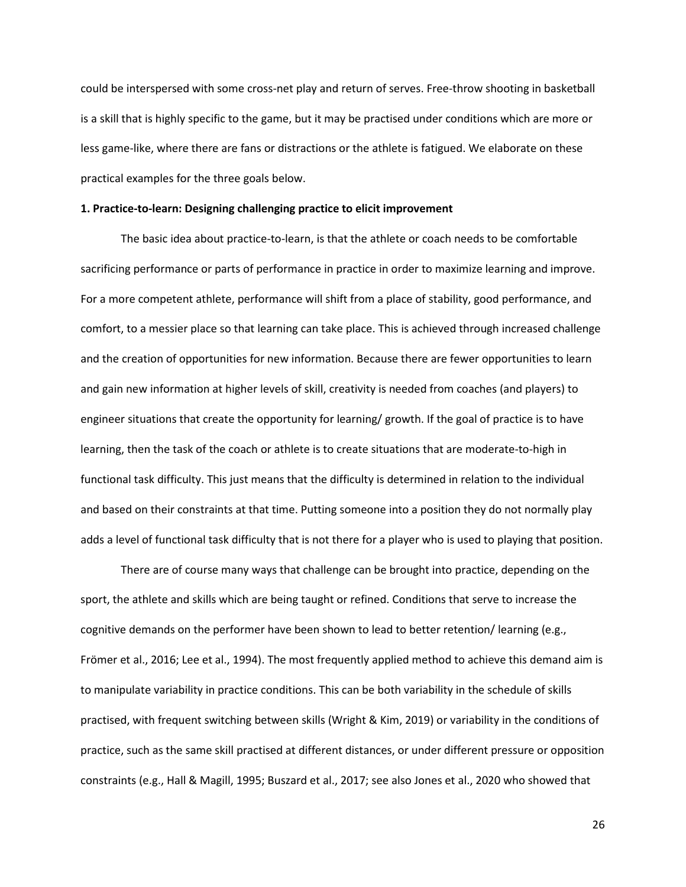could be interspersed with some cross-net play and return of serves. Free-throw shooting in basketball is a skill that is highly specific to the game, but it may be practised under conditions which are more or less game-like, where there are fans or distractions or the athlete is fatigued. We elaborate on these practical examples for the three goals below.

### **1. Practice-to-learn: Designing challenging practice to elicit improvement**

The basic idea about practice-to-learn, is that the athlete or coach needs to be comfortable sacrificing performance or parts of performance in practice in order to maximize learning and improve. For a more competent athlete, performance will shift from a place of stability, good performance, and comfort, to a messier place so that learning can take place. This is achieved through increased challenge and the creation of opportunities for new information. Because there are fewer opportunities to learn and gain new information at higher levels of skill, creativity is needed from coaches (and players) to engineer situations that create the opportunity for learning/ growth. If the goal of practice is to have learning, then the task of the coach or athlete is to create situations that are moderate-to-high in functional task difficulty. This just means that the difficulty is determined in relation to the individual and based on their constraints at that time. Putting someone into a position they do not normally play adds a level of functional task difficulty that is not there for a player who is used to playing that position.

There are of course many ways that challenge can be brought into practice, depending on the sport, the athlete and skills which are being taught or refined. Conditions that serve to increase the cognitive demands on the performer have been shown to lead to better retention/ learning (e.g., Frömer et al., 2016; Lee et al., 1994). The most frequently applied method to achieve this demand aim is to manipulate variability in practice conditions. This can be both variability in the schedule of skills practised, with frequent switching between skills (Wright & Kim, 2019) or variability in the conditions of practice, such as the same skill practised at different distances, or under different pressure or opposition constraints (e.g., Hall & Magill, 1995; Buszard et al., 2017; see also Jones et al., 2020 who showed that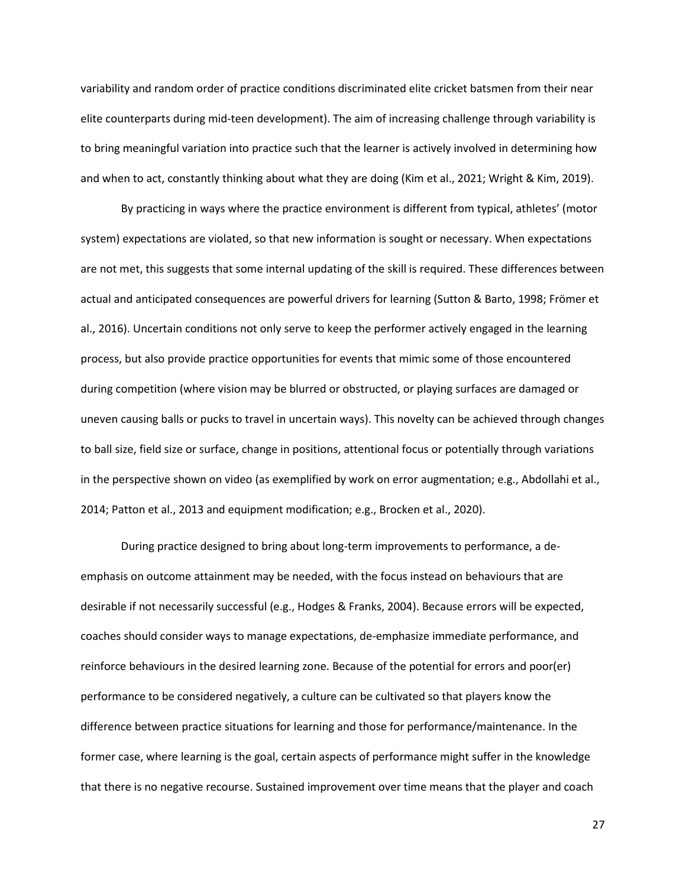variability and random order of practice conditions discriminated elite cricket batsmen from their near elite counterparts during mid-teen development). The aim of increasing challenge through variability is to bring meaningful variation into practice such that the learner is actively involved in determining how and when to act, constantly thinking about what they are doing (Kim et al., 2021; Wright & Kim, 2019).

By practicing in ways where the practice environment is different from typical, athletes' (motor system) expectations are violated, so that new information is sought or necessary. When expectations are not met, this suggests that some internal updating of the skill is required. These differences between actual and anticipated consequences are powerful drivers for learning (Sutton & Barto, 1998; Frömer et al., 2016). Uncertain conditions not only serve to keep the performer actively engaged in the learning process, but also provide practice opportunities for events that mimic some of those encountered during competition (where vision may be blurred or obstructed, or playing surfaces are damaged or uneven causing balls or pucks to travel in uncertain ways). This novelty can be achieved through changes to ball size, field size or surface, change in positions, attentional focus or potentially through variations in the perspective shown on video (as exemplified by work on error augmentation; e.g., Abdollahi et al., 2014; Patton et al., 2013 and equipment modification; e.g., Brocken et al., 2020).

During practice designed to bring about long-term improvements to performance, a deemphasis on outcome attainment may be needed, with the focus instead on behaviours that are desirable if not necessarily successful (e.g., Hodges & Franks, 2004). Because errors will be expected, coaches should consider ways to manage expectations, de-emphasize immediate performance, and reinforce behaviours in the desired learning zone. Because of the potential for errors and poor(er) performance to be considered negatively, a culture can be cultivated so that players know the difference between practice situations for learning and those for performance/maintenance. In the former case, where learning is the goal, certain aspects of performance might suffer in the knowledge that there is no negative recourse. Sustained improvement over time means that the player and coach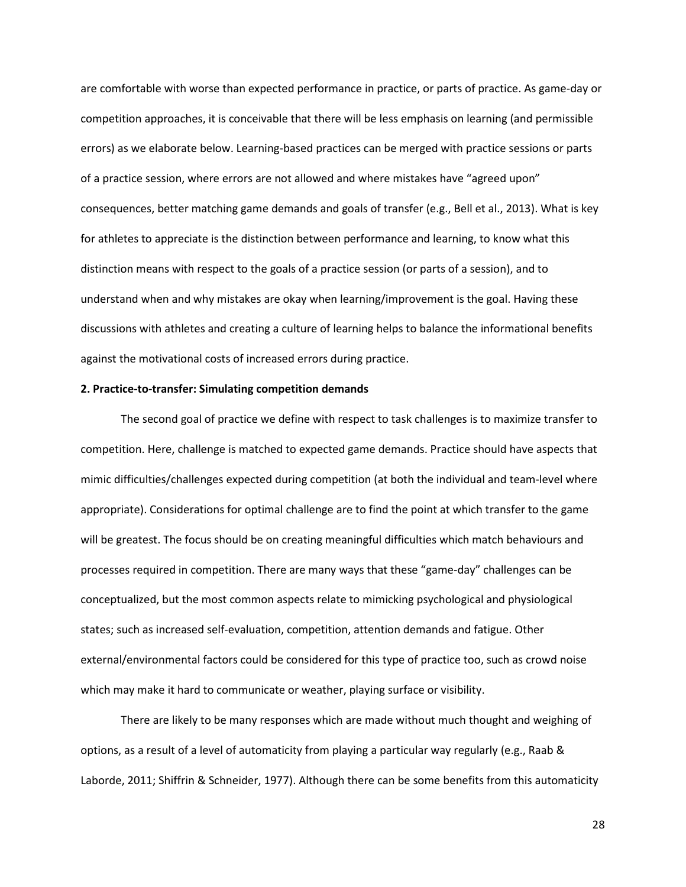are comfortable with worse than expected performance in practice, or parts of practice. As game-day or competition approaches, it is conceivable that there will be less emphasis on learning (and permissible errors) as we elaborate below. Learning-based practices can be merged with practice sessions or parts of a practice session, where errors are not allowed and where mistakes have "agreed upon" consequences, better matching game demands and goals of transfer (e.g., Bell et al., 2013). What is key for athletes to appreciate is the distinction between performance and learning, to know what this distinction means with respect to the goals of a practice session (or parts of a session), and to understand when and why mistakes are okay when learning/improvement is the goal. Having these discussions with athletes and creating a culture of learning helps to balance the informational benefits against the motivational costs of increased errors during practice.

### **2. Practice-to-transfer: Simulating competition demands**

The second goal of practice we define with respect to task challenges is to maximize transfer to competition. Here, challenge is matched to expected game demands. Practice should have aspects that mimic difficulties/challenges expected during competition (at both the individual and team-level where appropriate). Considerations for optimal challenge are to find the point at which transfer to the game will be greatest. The focus should be on creating meaningful difficulties which match behaviours and processes required in competition. There are many ways that these "game-day" challenges can be conceptualized, but the most common aspects relate to mimicking psychological and physiological states; such as increased self-evaluation, competition, attention demands and fatigue. Other external/environmental factors could be considered for this type of practice too, such as crowd noise which may make it hard to communicate or weather, playing surface or visibility.

There are likely to be many responses which are made without much thought and weighing of options, as a result of a level of automaticity from playing a particular way regularly (e.g., Raab & Laborde, 2011; Shiffrin & Schneider, 1977). Although there can be some benefits from this automaticity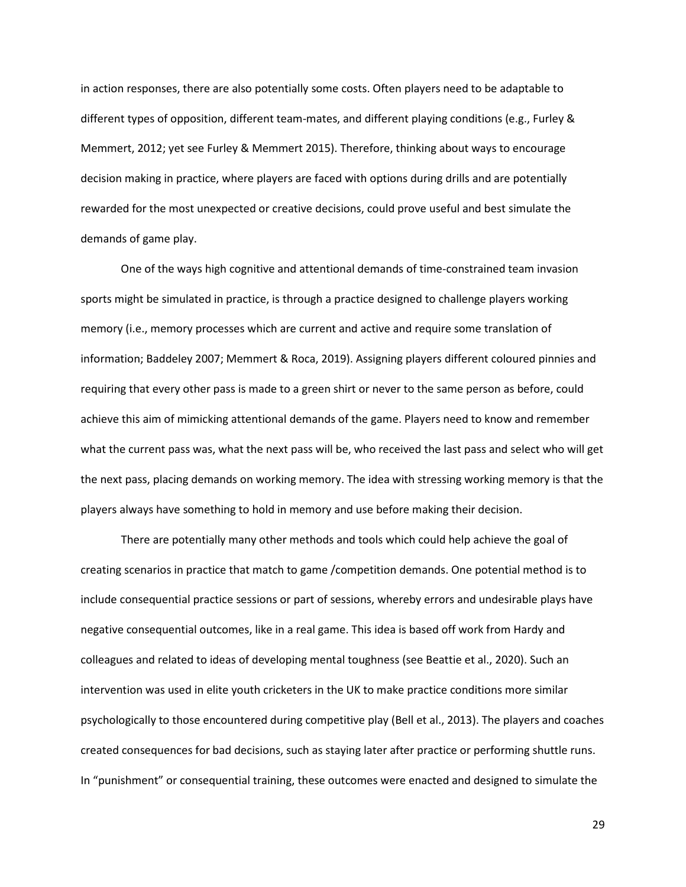in action responses, there are also potentially some costs. Often players need to be adaptable to different types of opposition, different team-mates, and different playing conditions (e.g., Furley & Memmert, 2012; yet see Furley & Memmert 2015). Therefore, thinking about ways to encourage decision making in practice, where players are faced with options during drills and are potentially rewarded for the most unexpected or creative decisions, could prove useful and best simulate the demands of game play.

One of the ways high cognitive and attentional demands of time-constrained team invasion sports might be simulated in practice, is through a practice designed to challenge players working memory (i.e., memory processes which are current and active and require some translation of information; Baddeley 2007; Memmert & Roca, 2019). Assigning players different coloured pinnies and requiring that every other pass is made to a green shirt or never to the same person as before, could achieve this aim of mimicking attentional demands of the game. Players need to know and remember what the current pass was, what the next pass will be, who received the last pass and select who will get the next pass, placing demands on working memory. The idea with stressing working memory is that the players always have something to hold in memory and use before making their decision.

There are potentially many other methods and tools which could help achieve the goal of creating scenarios in practice that match to game /competition demands. One potential method is to include consequential practice sessions or part of sessions, whereby errors and undesirable plays have negative consequential outcomes, like in a real game. This idea is based off work from Hardy and colleagues and related to ideas of developing mental toughness (see Beattie et al., 2020). Such an intervention was used in elite youth cricketers in the UK to make practice conditions more similar psychologically to those encountered during competitive play (Bell et al., 2013). The players and coaches created consequences for bad decisions, such as staying later after practice or performing shuttle runs. In "punishment" or consequential training, these outcomes were enacted and designed to simulate the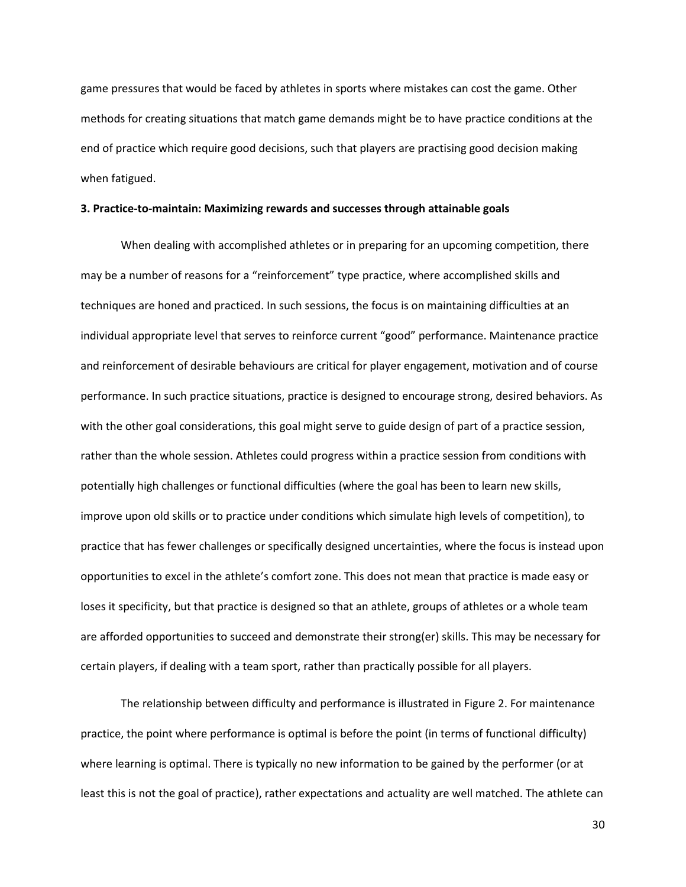game pressures that would be faced by athletes in sports where mistakes can cost the game. Other methods for creating situations that match game demands might be to have practice conditions at the end of practice which require good decisions, such that players are practising good decision making when fatigued.

### **3. Practice-to-maintain: Maximizing rewards and successes through attainable goals**

When dealing with accomplished athletes or in preparing for an upcoming competition, there may be a number of reasons for a "reinforcement" type practice, where accomplished skills and techniques are honed and practiced. In such sessions, the focus is on maintaining difficulties at an individual appropriate level that serves to reinforce current "good" performance. Maintenance practice and reinforcement of desirable behaviours are critical for player engagement, motivation and of course performance. In such practice situations, practice is designed to encourage strong, desired behaviors. As with the other goal considerations, this goal might serve to guide design of part of a practice session, rather than the whole session. Athletes could progress within a practice session from conditions with potentially high challenges or functional difficulties (where the goal has been to learn new skills, improve upon old skills or to practice under conditions which simulate high levels of competition), to practice that has fewer challenges or specifically designed uncertainties, where the focus is instead upon opportunities to excel in the athlete's comfort zone. This does not mean that practice is made easy or loses it specificity, but that practice is designed so that an athlete, groups of athletes or a whole team are afforded opportunities to succeed and demonstrate their strong(er) skills. This may be necessary for certain players, if dealing with a team sport, rather than practically possible for all players.

The relationship between difficulty and performance is illustrated in Figure 2. For maintenance practice, the point where performance is optimal is before the point (in terms of functional difficulty) where learning is optimal. There is typically no new information to be gained by the performer (or at least this is not the goal of practice), rather expectations and actuality are well matched. The athlete can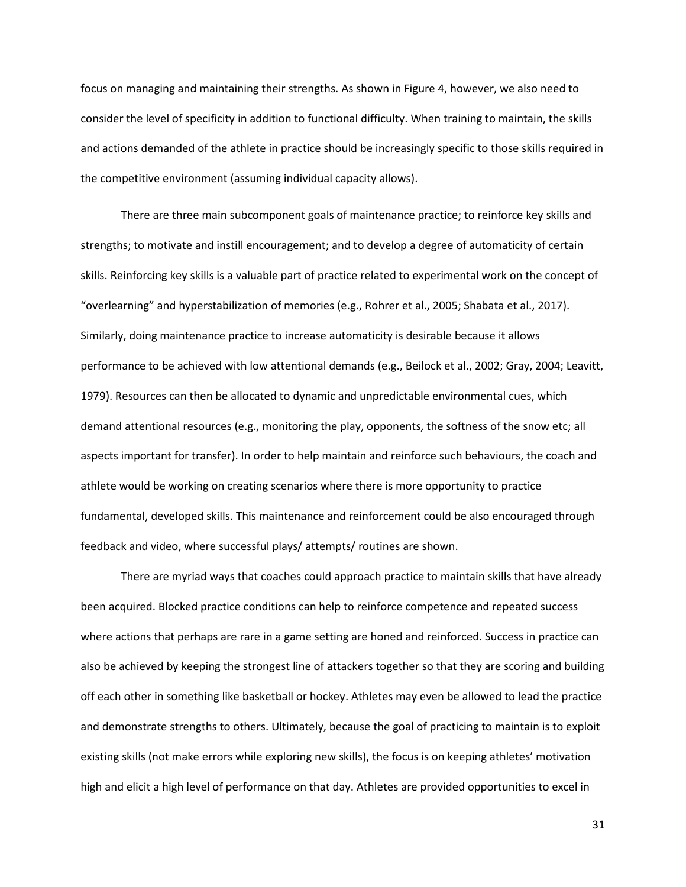focus on managing and maintaining their strengths. As shown in Figure 4, however, we also need to consider the level of specificity in addition to functional difficulty. When training to maintain, the skills and actions demanded of the athlete in practice should be increasingly specific to those skills required in the competitive environment (assuming individual capacity allows).

There are three main subcomponent goals of maintenance practice; to reinforce key skills and strengths; to motivate and instill encouragement; and to develop a degree of automaticity of certain skills. Reinforcing key skills is a valuable part of practice related to experimental work on the concept of "overlearning" and hyperstabilization of memories (e.g., Rohrer et al., 2005; Shabata et al., 2017). Similarly, doing maintenance practice to increase automaticity is desirable because it allows performance to be achieved with low attentional demands (e.g., Beilock et al., 2002; Gray, 2004; Leavitt, 1979). Resources can then be allocated to dynamic and unpredictable environmental cues, which demand attentional resources (e.g., monitoring the play, opponents, the softness of the snow etc; all aspects important for transfer). In order to help maintain and reinforce such behaviours, the coach and athlete would be working on creating scenarios where there is more opportunity to practice fundamental, developed skills. This maintenance and reinforcement could be also encouraged through feedback and video, where successful plays/ attempts/ routines are shown.

There are myriad ways that coaches could approach practice to maintain skills that have already been acquired. Blocked practice conditions can help to reinforce competence and repeated success where actions that perhaps are rare in a game setting are honed and reinforced. Success in practice can also be achieved by keeping the strongest line of attackers together so that they are scoring and building off each other in something like basketball or hockey. Athletes may even be allowed to lead the practice and demonstrate strengths to others. Ultimately, because the goal of practicing to maintain is to exploit existing skills (not make errors while exploring new skills), the focus is on keeping athletes' motivation high and elicit a high level of performance on that day. Athletes are provided opportunities to excel in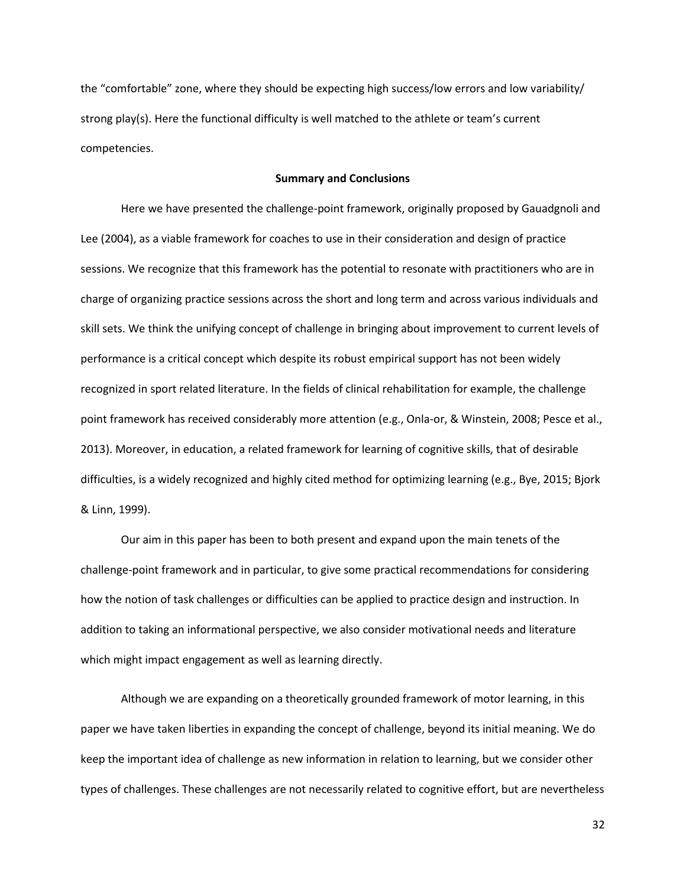the "comfortable" zone, where they should be expecting high success/low errors and low variability/ strong play(s). Here the functional difficulty is well matched to the athlete or team's current competencies.

### **Summary and Conclusions**

Here we have presented the challenge-point framework, originally proposed by Gauadgnoli and Lee (2004), as a viable framework for coaches to use in their consideration and design of practice sessions. We recognize that this framework has the potential to resonate with practitioners who are in charge of organizing practice sessions across the short and long term and across various individuals and skill sets. We think the unifying concept of challenge in bringing about improvement to current levels of performance is a critical concept which despite its robust empirical support has not been widely recognized in sport related literature. In the fields of clinical rehabilitation for example, the challenge point framework has received considerably more attention (e.g., Onla-or, & Winstein, 2008; Pesce et al., 2013). Moreover, in education, a related framework for learning of cognitive skills, that of desirable difficulties, is a widely recognized and highly cited method for optimizing learning (e.g., Bye, 2015; Bjork & Linn, 1999).

Our aim in this paper has been to both present and expand upon the main tenets of the challenge-point framework and in particular, to give some practical recommendations for considering how the notion of task challenges or difficulties can be applied to practice design and instruction. In addition to taking an informational perspective, we also consider motivational needs and literature which might impact engagement as well as learning directly.

Although we are expanding on a theoretically grounded framework of motor learning, in this paper we have taken liberties in expanding the concept of challenge, beyond its initial meaning. We do keep the important idea of challenge as new information in relation to learning, but we consider other types of challenges. These challenges are not necessarily related to cognitive effort, but are nevertheless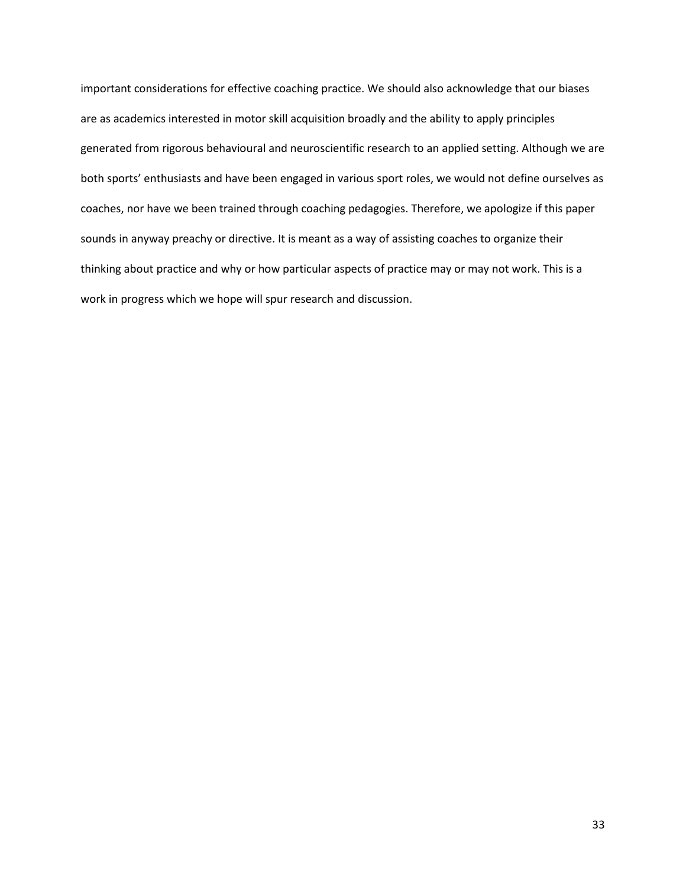important considerations for effective coaching practice. We should also acknowledge that our biases are as academics interested in motor skill acquisition broadly and the ability to apply principles generated from rigorous behavioural and neuroscientific research to an applied setting. Although we are both sports' enthusiasts and have been engaged in various sport roles, we would not define ourselves as coaches, nor have we been trained through coaching pedagogies. Therefore, we apologize if this paper sounds in anyway preachy or directive. It is meant as a way of assisting coaches to organize their thinking about practice and why or how particular aspects of practice may or may not work. This is a work in progress which we hope will spur research and discussion.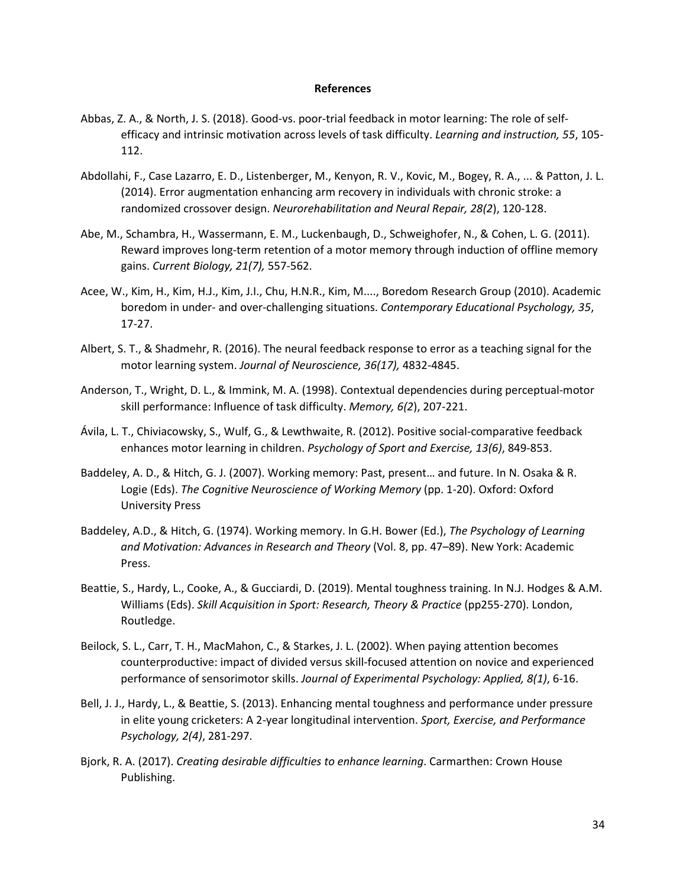#### **References**

- Abbas, Z. A., & North, J. S. (2018). Good-vs. poor-trial feedback in motor learning: The role of selfefficacy and intrinsic motivation across levels of task difficulty. *Learning and instruction, 55*, 105- 112.
- Abdollahi, F., Case Lazarro, E. D., Listenberger, M., Kenyon, R. V., Kovic, M., Bogey, R. A., ... & Patton, J. L. (2014). Error augmentation enhancing arm recovery in individuals with chronic stroke: a randomized crossover design. *Neurorehabilitation and Neural Repair, 28(2*), 120-128.
- Abe, M., Schambra, H., Wassermann, E. M., Luckenbaugh, D., Schweighofer, N., & Cohen, L. G. (2011). Reward improves long-term retention of a motor memory through induction of offline memory gains. *Current Biology, 21(7),* 557-562.
- Acee, W., Kim, H., Kim, H.J., Kim, J.I., Chu, H.N.R., Kim, M...., Boredom Research Group (2010). Academic boredom in under- and over-challenging situations. *Contemporary Educational Psychology, 35*, 17-27.
- Albert, S. T., & Shadmehr, R. (2016). The neural feedback response to error as a teaching signal for the motor learning system. *Journal of Neuroscience, 36(17),* 4832-4845.
- Anderson, T., Wright, D. L., & Immink, M. A. (1998). Contextual dependencies during perceptual-motor skill performance: Influence of task difficulty. *Memory, 6(2*), 207-221.
- Ávila, L. T., Chiviacowsky, S., Wulf, G., & Lewthwaite, R. (2012). Positive social-comparative feedback enhances motor learning in children. *Psychology of Sport and Exercise, 13(6)*, 849-853.
- Baddeley, A. D., & Hitch, G. J. (2007). Working memory: Past, present… and future. In N. Osaka & R. Logie (Eds). *The Cognitive Neuroscience of Working Memory* (pp. 1-20). Oxford: Oxford University Press
- Baddeley, A.D., & Hitch, G. (1974). Working memory. In G.H. Bower (Ed.), *The Psychology of Learning and Motivation: Advances in Research and Theory* (Vol. 8, pp. 47–89). New York: Academic Press.
- Beattie, S., Hardy, L., Cooke, A., & Gucciardi, D. (2019). Mental toughness training. In N.J. Hodges & A.M. Williams (Eds). *Skill Acquisition in Sport: Research, Theory & Practice* (pp255-270). London, Routledge.
- Beilock, S. L., Carr, T. H., MacMahon, C., & Starkes, J. L. (2002). When paying attention becomes counterproductive: impact of divided versus skill-focused attention on novice and experienced performance of sensorimotor skills. *Journal of Experimental Psychology: Applied, 8(1)*, 6-16.
- Bell, J. J., Hardy, L., & Beattie, S. (2013). Enhancing mental toughness and performance under pressure in elite young cricketers: A 2-year longitudinal intervention. *Sport, Exercise, and Performance Psychology, 2(4)*, 281-297.
- Bjork, R. A. (2017). *Creating desirable difficulties to enhance learning*. Carmarthen: Crown House Publishing.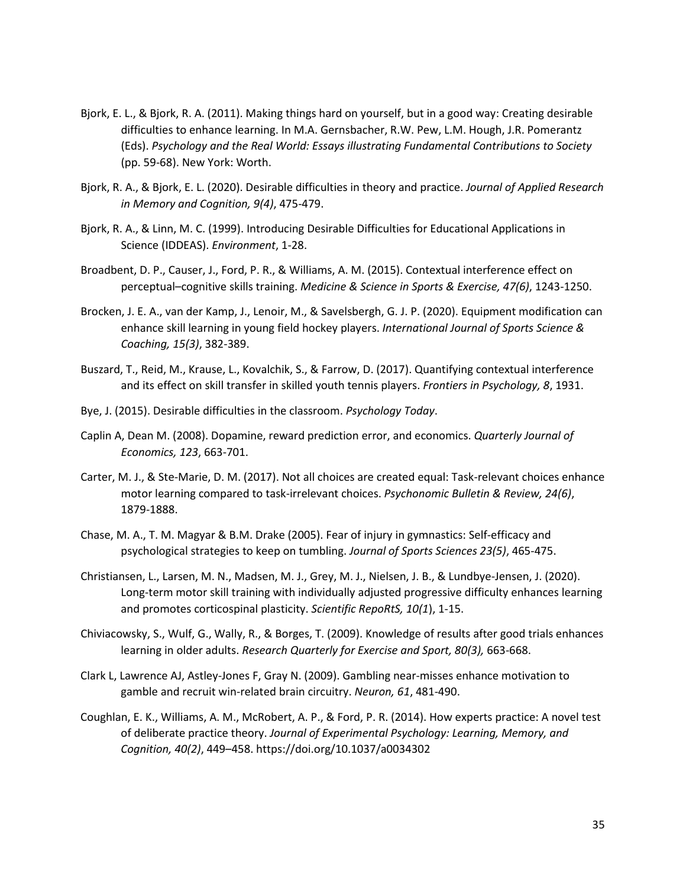- Bjork, E. L., & Bjork, R. A. (2011). Making things hard on yourself, but in a good way: Creating desirable difficulties to enhance learning. In M.A. Gernsbacher, R.W. Pew, L.M. Hough, J.R. Pomerantz (Eds). *Psychology and the Real World: Essays illustrating Fundamental Contributions to Society* (pp. 59-68). New York: Worth.
- Bjork, R. A., & Bjork, E. L. (2020). Desirable difficulties in theory and practice. *Journal of Applied Research in Memory and Cognition, 9(4)*, 475-479.
- Bjork, R. A., & Linn, M. C. (1999). Introducing Desirable Difficulties for Educational Applications in Science (IDDEAS). *Environment*, 1-28.
- Broadbent, D. P., Causer, J., Ford, P. R., & Williams, A. M. (2015). Contextual interference effect on perceptual–cognitive skills training. *Medicine & Science in Sports & Exercise, 47(6)*, 1243-1250.
- Brocken, J. E. A., van der Kamp, J., Lenoir, M., & Savelsbergh, G. J. P. (2020). Equipment modification can enhance skill learning in young field hockey players. *International Journal of Sports Science & Coaching, 15(3)*, 382-389.
- Buszard, T., Reid, M., Krause, L., Kovalchik, S., & Farrow, D. (2017). Quantifying contextual interference and its effect on skill transfer in skilled youth tennis players. *Frontiers in Psychology, 8*, 1931.
- Bye, J. (2015). Desirable difficulties in the classroom. *Psychology Today*.
- Caplin A, Dean M. (2008). Dopamine, reward prediction error, and economics. *Quarterly Journal of Economics, 123*, 663-701.
- Carter, M. J., & Ste-Marie, D. M. (2017). Not all choices are created equal: Task-relevant choices enhance motor learning compared to task-irrelevant choices. *Psychonomic Bulletin & Review, 24(6)*, 1879-1888.
- Chase, M. A., T. M. Magyar & B.M. Drake (2005). Fear of injury in gymnastics: Self-efficacy and psychological strategies to keep on tumbling. *Journal of Sports Sciences 23(5)*, 465-475.
- Christiansen, L., Larsen, M. N., Madsen, M. J., Grey, M. J., Nielsen, J. B., & Lundbye-Jensen, J. (2020). Long-term motor skill training with individually adjusted progressive difficulty enhances learning and promotes corticospinal plasticity. *Scientific RepoRtS, 10(1*), 1-15.
- Chiviacowsky, S., Wulf, G., Wally, R., & Borges, T. (2009). Knowledge of results after good trials enhances learning in older adults. *Research Quarterly for Exercise and Sport, 80(3),* 663-668.
- Clark L, Lawrence AJ, Astley-Jones F, Gray N. (2009). Gambling near-misses enhance motivation to gamble and recruit win-related brain circuitry. *Neuron, 61*, 481-490.
- Coughlan, E. K., Williams, A. M., McRobert, A. P., & Ford, P. R. (2014). How experts practice: A novel test of deliberate practice theory. *Journal of Experimental Psychology: Learning, Memory, and Cognition, 40(2)*, 449–458. https://doi.org/10.1037/a0034302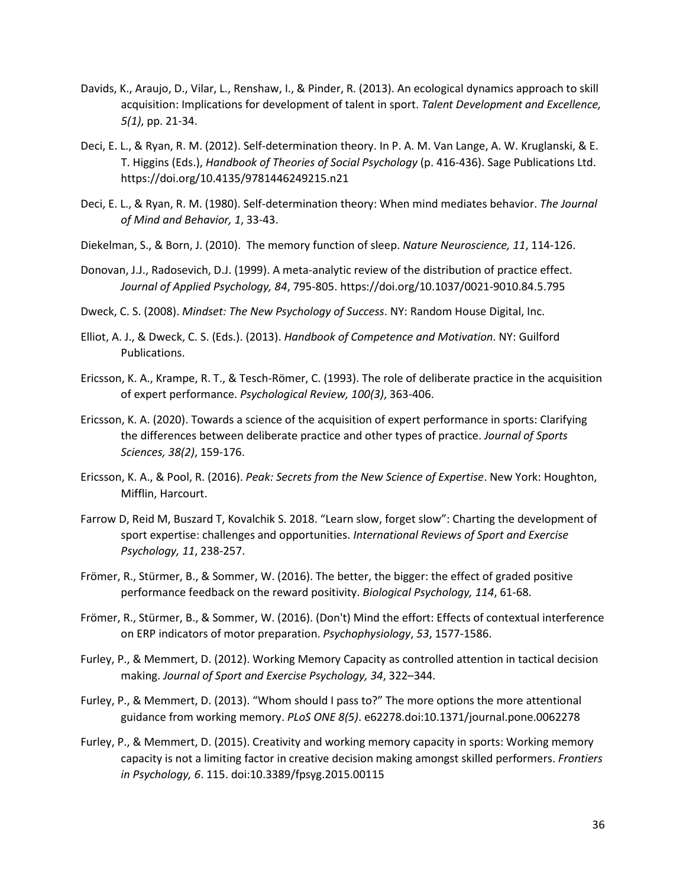- Davids, K., Araujo, D., Vilar, L., Renshaw, I., & Pinder, R. (2013). An ecological dynamics approach to skill acquisition: Implications for development of talent in sport. *Talent Development and Excellence, 5(1)*, pp. 21-34.
- Deci, E. L., & Ryan, R. M. (2012). Self-determination theory. In P. A. M. Van Lange, A. W. Kruglanski, & E. T. Higgins (Eds.), *Handbook of Theories of Social Psychology* (p. 416-436). Sage Publications Ltd. https://doi.org/10.4135/9781446249215.n21
- Deci, E. L., & Ryan, R. M. (1980). Self-determination theory: When mind mediates behavior. *The Journal of Mind and Behavior, 1*, 33-43.
- Diekelman, S., & Born, J. (2010). The memory function of sleep. *Nature Neuroscience, 11*, 114-126.
- Donovan, J.J., Radosevich, D.J. (1999). A meta-analytic review of the distribution of practice effect. *Journal of Applied Psychology, 84*, 795-805. https://doi.org/10.1037/0021-9010.84.5.795
- Dweck, C. S. (2008). *Mindset: The New Psychology of Success*. NY: Random House Digital, Inc.
- Elliot, A. J., & Dweck, C. S. (Eds.). (2013). *Handbook of Competence and Motivation*. NY: Guilford Publications.
- Ericsson, K. A., Krampe, R. T., & Tesch-Römer, C. (1993). The role of deliberate practice in the acquisition of expert performance. *Psychological Review, 100(3)*, 363-406.
- Ericsson, K. A. (2020). Towards a science of the acquisition of expert performance in sports: Clarifying the differences between deliberate practice and other types of practice. *Journal of Sports Sciences, 38(2)*, 159-176.
- Ericsson, K. A., & Pool, R. (2016). *Peak: Secrets from the New Science of Expertise*. New York: Houghton, Mifflin, Harcourt.
- Farrow D, Reid M, Buszard T, Kovalchik S. 2018. "Learn slow, forget slow": Charting the development of sport expertise: challenges and opportunities. *International Reviews of Sport and Exercise Psychology, 11*, 238-257.
- Frömer, R., Stürmer, B., & Sommer, W. (2016). The better, the bigger: the effect of graded positive performance feedback on the reward positivity. *Biological Psychology, 114*, 61-68.
- Frömer, R., Stürmer, B., & Sommer, W. (2016). (Don't) Mind the effort: Effects of contextual interference on ERP indicators of motor preparation. *Psychophysiology*, *53*, 1577-1586.
- Furley, P., & Memmert, D. (2012). Working Memory Capacity as controlled attention in tactical decision making. *Journal of Sport and Exercise Psychology, 34*, 322–344.
- Furley, P., & Memmert, D. (2013). "Whom should I pass to?" The more options the more attentional guidance from working memory. *PLoS ONE 8(5)*. e62278.doi:10.1371/journal.pone.0062278
- Furley, P., & Memmert, D. (2015). Creativity and working memory capacity in sports: Working memory capacity is not a limiting factor in creative decision making amongst skilled performers. *Frontiers in Psychology, 6*. 115. doi:10.3389/fpsyg.2015.00115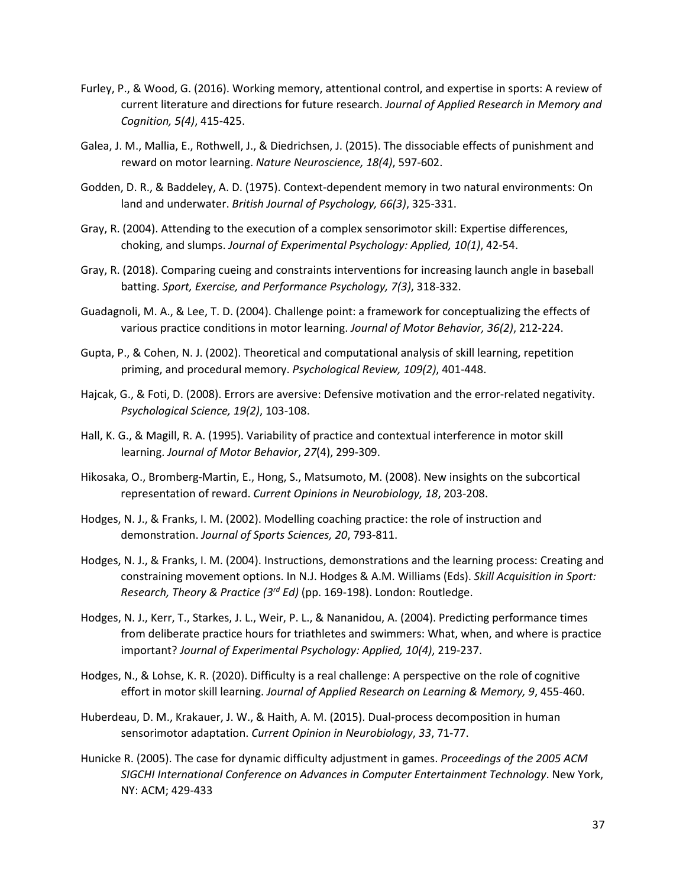- Furley, P., & Wood, G. (2016). Working memory, attentional control, and expertise in sports: A review of current literature and directions for future research. *Journal of Applied Research in Memory and Cognition, 5(4)*, 415-425.
- Galea, J. M., Mallia, E., Rothwell, J., & Diedrichsen, J. (2015). The dissociable effects of punishment and reward on motor learning. *Nature Neuroscience, 18(4)*, 597-602.
- Godden, D. R., & Baddeley, A. D. (1975). Context-dependent memory in two natural environments: On land and underwater. *British Journal of Psychology, 66(3)*, 325-331.
- Gray, R. (2004). Attending to the execution of a complex sensorimotor skill: Expertise differences, choking, and slumps. *Journal of Experimental Psychology: Applied, 10(1)*, 42-54.
- Gray, R. (2018). Comparing cueing and constraints interventions for increasing launch angle in baseball batting. *Sport, Exercise, and Performance Psychology, 7(3)*, 318-332.
- Guadagnoli, M. A., & Lee, T. D. (2004). Challenge point: a framework for conceptualizing the effects of various practice conditions in motor learning. *Journal of Motor Behavior, 36(2)*, 212-224.
- Gupta, P., & Cohen, N. J. (2002). Theoretical and computational analysis of skill learning, repetition priming, and procedural memory. *Psychological Review, 109(2)*, 401-448.
- Hajcak, G., & Foti, D. (2008). Errors are aversive: Defensive motivation and the error-related negativity. *Psychological Science, 19(2)*, 103-108.
- Hall, K. G., & Magill, R. A. (1995). Variability of practice and contextual interference in motor skill learning. *Journal of Motor Behavior*, *27*(4), 299-309.
- Hikosaka, O., Bromberg-Martin, E., Hong, S., Matsumoto, M. (2008). New insights on the subcortical representation of reward. *Current Opinions in Neurobiology, 18*, 203-208.
- Hodges, N. J., & Franks, I. M. (2002). Modelling coaching practice: the role of instruction and demonstration. *Journal of Sports Sciences, 20*, 793-811.
- Hodges, N. J., & Franks, I. M. (2004). Instructions, demonstrations and the learning process: Creating and constraining movement options. In N.J. Hodges & A.M. Williams (Eds). *Skill Acquisition in Sport: Research, Theory & Practice (3rd Ed)* (pp. 169-198). London: Routledge.
- Hodges, N. J., Kerr, T., Starkes, J. L., Weir, P. L., & Nananidou, A. (2004). Predicting performance times from deliberate practice hours for triathletes and swimmers: What, when, and where is practice important? *Journal of Experimental Psychology: Applied, 10(4)*, 219-237.
- Hodges, N., & Lohse, K. R. (2020). Difficulty is a real challenge: A perspective on the role of cognitive effort in motor skill learning. *Journal of Applied Research on Learning & Memory, 9*, 455-460.
- Huberdeau, D. M., Krakauer, J. W., & Haith, A. M. (2015). Dual-process decomposition in human sensorimotor adaptation. *Current Opinion in Neurobiology*, *33*, 71-77.
- Hunicke R. (2005). The case for dynamic difficulty adjustment in games. *Proceedings of the 2005 ACM SIGCHI International Conference on Advances in Computer Entertainment Technology*. New York, NY: ACM; 429-433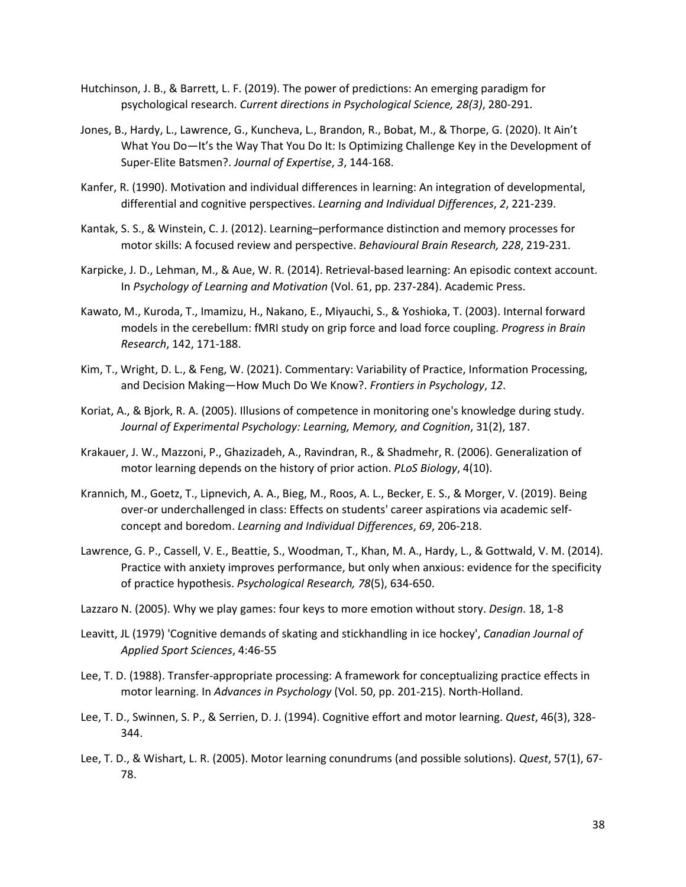- Hutchinson, J. B., & Barrett, L. F. (2019). The power of predictions: An emerging paradigm for psychological research. *Current directions in Psychological Science, 28(3)*, 280-291.
- Jones, B., Hardy, L., Lawrence, G., Kuncheva, L., Brandon, R., Bobat, M., & Thorpe, G. (2020). It Ain't What You Do—It's the Way That You Do It: Is Optimizing Challenge Key in the Development of Super-Elite Batsmen?. *Journal of Expertise*, *3*, 144-168.
- Kanfer, R. (1990). Motivation and individual differences in learning: An integration of developmental, differential and cognitive perspectives. *Learning and Individual Differences*, *2*, 221-239.
- Kantak, S. S., & Winstein, C. J. (2012). Learning–performance distinction and memory processes for motor skills: A focused review and perspective. *Behavioural Brain Research, 228*, 219-231.
- Karpicke, J. D., Lehman, M., & Aue, W. R. (2014). Retrieval-based learning: An episodic context account. In *Psychology of Learning and Motivation* (Vol. 61, pp. 237-284). Academic Press.
- Kawato, M., Kuroda, T., Imamizu, H., Nakano, E., Miyauchi, S., & Yoshioka, T. (2003). Internal forward models in the cerebellum: fMRI study on grip force and load force coupling. *Progress in Brain Research*, 142, 171-188.
- Kim, T., Wright, D. L., & Feng, W. (2021). Commentary: Variability of Practice, Information Processing, and Decision Making—How Much Do We Know?. *Frontiers in Psychology*, *12*.
- Koriat, A., & Bjork, R. A. (2005). Illusions of competence in monitoring one's knowledge during study. *Journal of Experimental Psychology: Learning, Memory, and Cognition*, 31(2), 187.
- Krakauer, J. W., Mazzoni, P., Ghazizadeh, A., Ravindran, R., & Shadmehr, R. (2006). Generalization of motor learning depends on the history of prior action. *PLoS Biology*, 4(10).
- Krannich, M., Goetz, T., Lipnevich, A. A., Bieg, M., Roos, A. L., Becker, E. S., & Morger, V. (2019). Being over-or underchallenged in class: Effects on students' career aspirations via academic selfconcept and boredom. *Learning and Individual Differences*, *69*, 206-218.
- Lawrence, G. P., Cassell, V. E., Beattie, S., Woodman, T., Khan, M. A., Hardy, L., & Gottwald, V. M. (2014). Practice with anxiety improves performance, but only when anxious: evidence for the specificity of practice hypothesis. *Psychological Research, 78*(5), 634-650.
- Lazzaro N. (2005). Why we play games: four keys to more emotion without story. *Design*. 18, 1-8
- Leavitt, JL (1979) 'Cognitive demands of skating and stickhandling in ice hockey', *Canadian Journal of Applied Sport Sciences*, 4:46-55
- Lee, T. D. (1988). Transfer-appropriate processing: A framework for conceptualizing practice effects in motor learning. In *Advances in Psychology* (Vol. 50, pp. 201-215). North-Holland.
- Lee, T. D., Swinnen, S. P., & Serrien, D. J. (1994). Cognitive effort and motor learning. *Quest*, 46(3), 328- 344.
- Lee, T. D., & Wishart, L. R. (2005). Motor learning conundrums (and possible solutions). *Quest*, 57(1), 67- 78.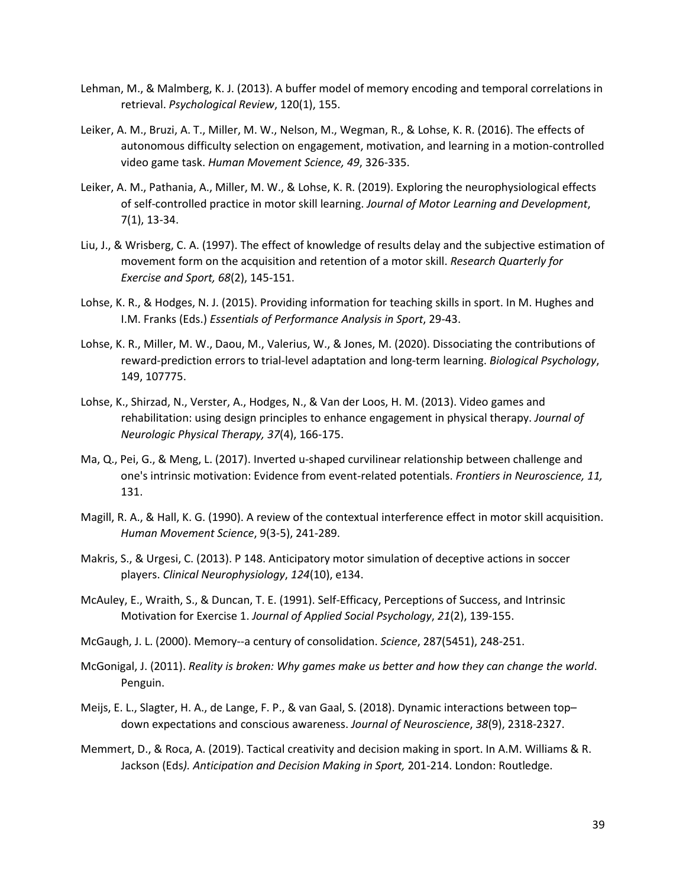- Lehman, M., & Malmberg, K. J. (2013). A buffer model of memory encoding and temporal correlations in retrieval. *Psychological Review*, 120(1), 155.
- Leiker, A. M., Bruzi, A. T., Miller, M. W., Nelson, M., Wegman, R., & Lohse, K. R. (2016). The effects of autonomous difficulty selection on engagement, motivation, and learning in a motion-controlled video game task. *Human Movement Science, 49*, 326-335.
- Leiker, A. M., Pathania, A., Miller, M. W., & Lohse, K. R. (2019). Exploring the neurophysiological effects of self-controlled practice in motor skill learning. *Journal of Motor Learning and Development*, 7(1), 13-34.
- Liu, J., & Wrisberg, C. A. (1997). The effect of knowledge of results delay and the subjective estimation of movement form on the acquisition and retention of a motor skill. *Research Quarterly for Exercise and Sport, 68*(2), 145-151.
- Lohse, K. R., & Hodges, N. J. (2015). Providing information for teaching skills in sport. In M. Hughes and I.M. Franks (Eds.) *Essentials of Performance Analysis in Sport*, 29-43.
- Lohse, K. R., Miller, M. W., Daou, M., Valerius, W., & Jones, M. (2020). Dissociating the contributions of reward-prediction errors to trial-level adaptation and long-term learning. *Biological Psychology*, 149, 107775.
- Lohse, K., Shirzad, N., Verster, A., Hodges, N., & Van der Loos, H. M. (2013). Video games and rehabilitation: using design principles to enhance engagement in physical therapy. *Journal of Neurologic Physical Therapy, 37*(4), 166-175.
- Ma, Q., Pei, G., & Meng, L. (2017). Inverted u-shaped curvilinear relationship between challenge and one's intrinsic motivation: Evidence from event-related potentials. *Frontiers in Neuroscience, 11,* 131.
- Magill, R. A., & Hall, K. G. (1990). A review of the contextual interference effect in motor skill acquisition. *Human Movement Science*, 9(3-5), 241-289.
- Makris, S., & Urgesi, C. (2013). P 148. Anticipatory motor simulation of deceptive actions in soccer players. *Clinical Neurophysiology*, *124*(10), e134.
- McAuley, E., Wraith, S., & Duncan, T. E. (1991). Self-Efficacy, Perceptions of Success, and Intrinsic Motivation for Exercise 1. *Journal of Applied Social Psychology*, *21*(2), 139-155.
- McGaugh, J. L. (2000). Memory--a century of consolidation. *Science*, 287(5451), 248-251.
- McGonigal, J. (2011). *Reality is broken: Why games make us better and how they can change the world*. Penguin.
- Meijs, E. L., Slagter, H. A., de Lange, F. P., & van Gaal, S. (2018). Dynamic interactions between top– down expectations and conscious awareness. *Journal of Neuroscience*, *38*(9), 2318-2327.
- Memmert, D., & Roca, A. (2019). Tactical creativity and decision making in sport. In A.M. Williams & R. Jackson (Eds*). Anticipation and Decision Making in Sport,* 201-214. London: Routledge.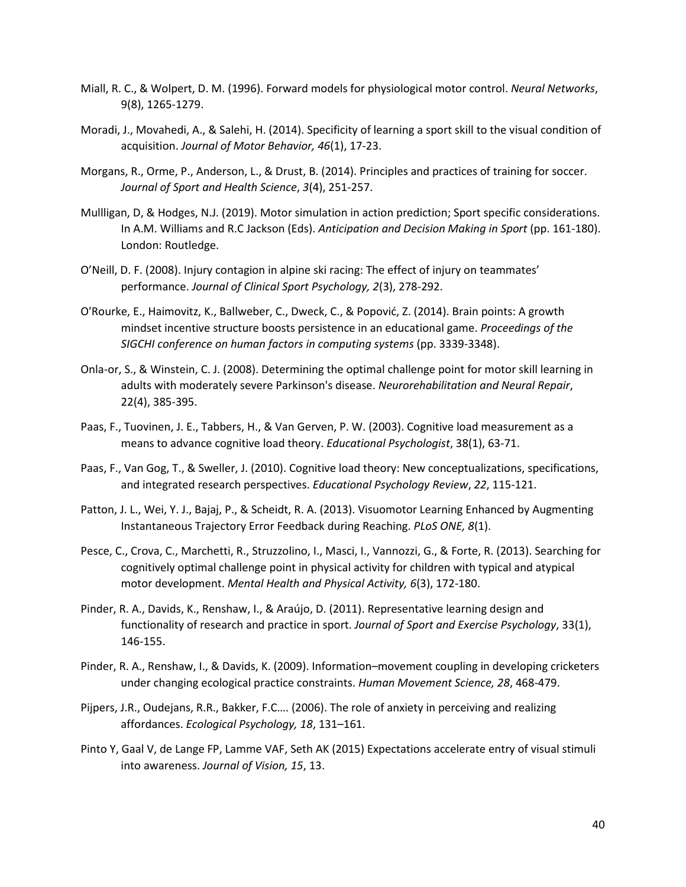- Miall, R. C., & Wolpert, D. M. (1996). Forward models for physiological motor control. *Neural Networks*, 9(8), 1265-1279.
- Moradi, J., Movahedi, A., & Salehi, H. (2014). Specificity of learning a sport skill to the visual condition of acquisition. *Journal of Motor Behavior, 46*(1), 17-23.
- Morgans, R., Orme, P., Anderson, L., & Drust, B. (2014). Principles and practices of training for soccer. *Journal of Sport and Health Science*, *3*(4), 251-257.
- Mullligan, D, & Hodges, N.J. (2019). Motor simulation in action prediction; Sport specific considerations. In A.M. Williams and R.C Jackson (Eds). *Anticipation and Decision Making in Sport* (pp. 161-180). London: Routledge.
- O'Neill, D. F. (2008). Injury contagion in alpine ski racing: The effect of injury on teammates' performance. *Journal of Clinical Sport Psychology, 2*(3), 278-292.
- O'Rourke, E., Haimovitz, K., Ballweber, C., Dweck, C., & Popović, Z. (2014). Brain points: A growth mindset incentive structure boosts persistence in an educational game. *Proceedings of the SIGCHI conference on human factors in computing systems* (pp. 3339-3348).
- Onla-or, S., & Winstein, C. J. (2008). Determining the optimal challenge point for motor skill learning in adults with moderately severe Parkinson's disease. *Neurorehabilitation and Neural Repair*, 22(4), 385-395.
- Paas, F., Tuovinen, J. E., Tabbers, H., & Van Gerven, P. W. (2003). Cognitive load measurement as a means to advance cognitive load theory. *Educational Psychologist*, 38(1), 63-71.
- Paas, F., Van Gog, T., & Sweller, J. (2010). Cognitive load theory: New conceptualizations, specifications, and integrated research perspectives. *Educational Psychology Review*, *22*, 115-121.
- Patton, J. L., Wei, Y. J., Bajaj, P., & Scheidt, R. A. (2013). Visuomotor Learning Enhanced by Augmenting Instantaneous Trajectory Error Feedback during Reaching. *PLoS ONE, 8*(1).
- Pesce, C., Crova, C., Marchetti, R., Struzzolino, I., Masci, I., Vannozzi, G., & Forte, R. (2013). Searching for cognitively optimal challenge point in physical activity for children with typical and atypical motor development. *Mental Health and Physical Activity, 6*(3), 172-180.
- Pinder, R. A., Davids, K., Renshaw, I., & Araújo, D. (2011). Representative learning design and functionality of research and practice in sport. *Journal of Sport and Exercise Psychology*, 33(1), 146-155.
- Pinder, R. A., Renshaw, I., & Davids, K. (2009). Information–movement coupling in developing cricketers under changing ecological practice constraints. *Human Movement Science, 28*, 468-479.
- Pijpers, J.R., Oudejans, R.R., Bakker, F.C…. (2006). The role of anxiety in perceiving and realizing affordances. *Ecological Psychology, 18*, 131–161.
- Pinto Y, Gaal V, de Lange FP, Lamme VAF, Seth AK (2015) Expectations accelerate entry of visual stimuli into awareness. *Journal of Vision, 15*, 13.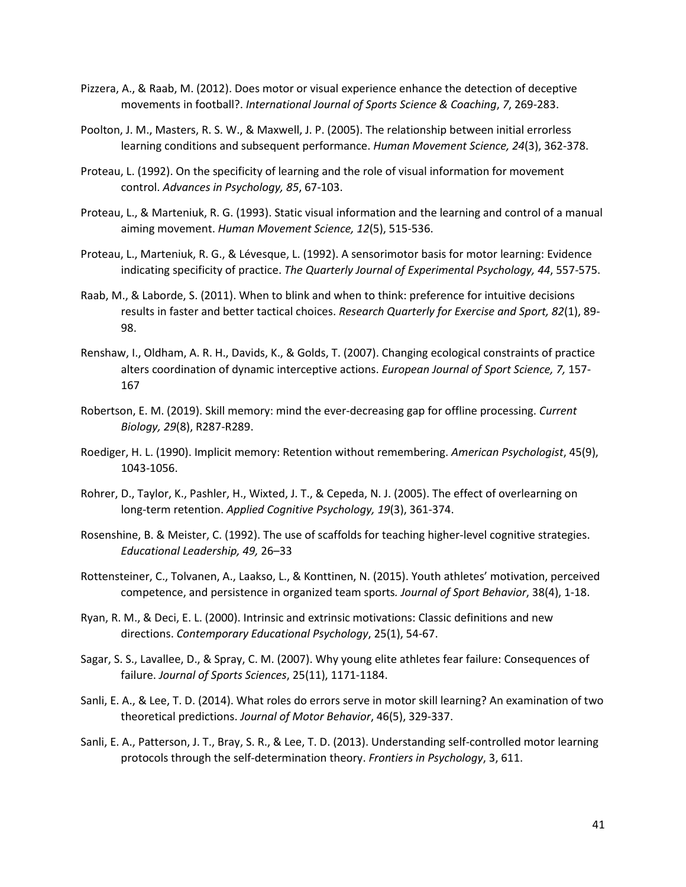- Pizzera, A., & Raab, M. (2012). Does motor or visual experience enhance the detection of deceptive movements in football?. *International Journal of Sports Science & Coaching*, *7*, 269-283.
- Poolton, J. M., Masters, R. S. W., & Maxwell, J. P. (2005). The relationship between initial errorless learning conditions and subsequent performance. *Human Movement Science, 24*(3), 362-378.
- Proteau, L. (1992). On the specificity of learning and the role of visual information for movement control. *Advances in Psychology, 85*, 67-103.
- Proteau, L., & Marteniuk, R. G. (1993). Static visual information and the learning and control of a manual aiming movement. *Human Movement Science, 12*(5), 515-536.
- Proteau, L., Marteniuk, R. G., & Lévesque, L. (1992). A sensorimotor basis for motor learning: Evidence indicating specificity of practice. *The Quarterly Journal of Experimental Psychology, 44*, 557-575.
- Raab, M., & Laborde, S. (2011). When to blink and when to think: preference for intuitive decisions results in faster and better tactical choices. *Research Quarterly for Exercise and Sport, 82*(1), 89- 98.
- Renshaw, I., Oldham, A. R. H., Davids, K., & Golds, T. (2007). Changing ecological constraints of practice alters coordination of dynamic interceptive actions. *European Journal of Sport Science, 7,* 157- 167
- Robertson, E. M. (2019). Skill memory: mind the ever-decreasing gap for offline processing. *Current Biology, 29*(8), R287-R289.
- Roediger, H. L. (1990). Implicit memory: Retention without remembering. *American Psychologist*, 45(9), 1043-1056.
- Rohrer, D., Taylor, K., Pashler, H., Wixted, J. T., & Cepeda, N. J. (2005). The effect of overlearning on long-term retention. *Applied Cognitive Psychology, 19*(3), 361-374.
- Rosenshine, B. & Meister, C. (1992). The use of scaffolds for teaching higher-level cognitive strategies. *Educational Leadership, 49,* 26–33
- Rottensteiner, C., Tolvanen, A., Laakso, L., & Konttinen, N. (2015). Youth athletes' motivation, perceived competence, and persistence in organized team sports*. Journal of Sport Behavior*, 38(4), 1-18.
- Ryan, R. M., & Deci, E. L. (2000). Intrinsic and extrinsic motivations: Classic definitions and new directions. *Contemporary Educational Psychology*, 25(1), 54-67.
- Sagar, S. S., Lavallee, D., & Spray, C. M. (2007). Why young elite athletes fear failure: Consequences of failure. *Journal of Sports Sciences*, 25(11), 1171-1184.
- Sanli, E. A., & Lee, T. D. (2014). What roles do errors serve in motor skill learning? An examination of two theoretical predictions. *Journal of Motor Behavior*, 46(5), 329-337.
- Sanli, E. A., Patterson, J. T., Bray, S. R., & Lee, T. D. (2013). Understanding self-controlled motor learning protocols through the self-determination theory. *Frontiers in Psychology*, 3, 611.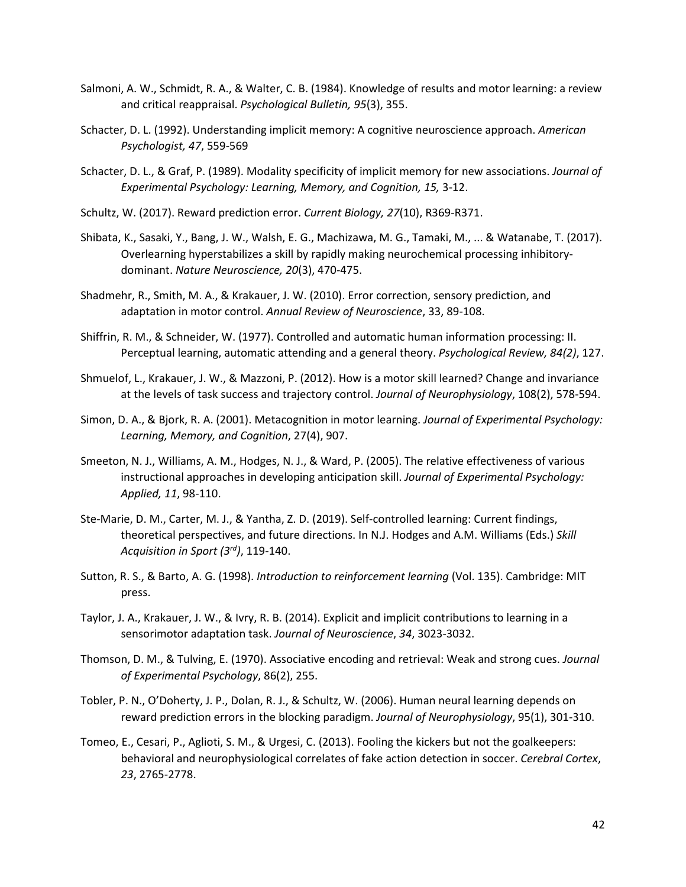- Salmoni, A. W., Schmidt, R. A., & Walter, C. B. (1984). Knowledge of results and motor learning: a review and critical reappraisal. *Psychological Bulletin, 95*(3), 355.
- Schacter, D. L. (1992). Understanding implicit memory: A cognitive neuroscience approach. *American Psychologist, 47*, 559-569
- Schacter, D. L., & Graf, P. (1989). Modality specificity of implicit memory for new associations. *Journal of Experimental Psychology: Learning, Memory, and Cognition, 15,* 3-12.
- Schultz, W. (2017). Reward prediction error. *Current Biology, 27*(10), R369-R371.
- Shibata, K., Sasaki, Y., Bang, J. W., Walsh, E. G., Machizawa, M. G., Tamaki, M., ... & Watanabe, T. (2017). Overlearning hyperstabilizes a skill by rapidly making neurochemical processing inhibitorydominant. *Nature Neuroscience, 20*(3), 470-475.
- Shadmehr, R., Smith, M. A., & Krakauer, J. W. (2010). Error correction, sensory prediction, and adaptation in motor control. *Annual Review of Neuroscience*, 33, 89-108.
- Shiffrin, R. M., & Schneider, W. (1977). Controlled and automatic human information processing: II. Perceptual learning, automatic attending and a general theory. *Psychological Review, 84(2)*, 127.
- Shmuelof, L., Krakauer, J. W., & Mazzoni, P. (2012). How is a motor skill learned? Change and invariance at the levels of task success and trajectory control. *Journal of Neurophysiology*, 108(2), 578-594.
- Simon, D. A., & Bjork, R. A. (2001). Metacognition in motor learning. *Journal of Experimental Psychology: Learning, Memory, and Cognition*, 27(4), 907.
- Smeeton, N. J., Williams, A. M., Hodges, N. J., & Ward, P. (2005). The relative effectiveness of various instructional approaches in developing anticipation skill. *Journal of Experimental Psychology: Applied, 11*, 98-110.
- Ste-Marie, D. M., Carter, M. J., & Yantha, Z. D. (2019). Self-controlled learning: Current findings, theoretical perspectives, and future directions. In N.J. Hodges and A.M. Williams (Eds.) *Skill Acquisition in Sport (3rd)*, 119-140.
- Sutton, R. S., & Barto, A. G. (1998). *Introduction to reinforcement learning* (Vol. 135). Cambridge: MIT press.
- Taylor, J. A., Krakauer, J. W., & Ivry, R. B. (2014). Explicit and implicit contributions to learning in a sensorimotor adaptation task. *Journal of Neuroscience*, *34*, 3023-3032.
- Thomson, D. M., & Tulving, E. (1970). Associative encoding and retrieval: Weak and strong cues. *Journal of Experimental Psychology*, 86(2), 255.
- Tobler, P. N., O'Doherty, J. P., Dolan, R. J., & Schultz, W. (2006). Human neural learning depends on reward prediction errors in the blocking paradigm. *Journal of Neurophysiology*, 95(1), 301-310.
- Tomeo, E., Cesari, P., Aglioti, S. M., & Urgesi, C. (2013). Fooling the kickers but not the goalkeepers: behavioral and neurophysiological correlates of fake action detection in soccer. *Cerebral Cortex*, *23*, 2765-2778.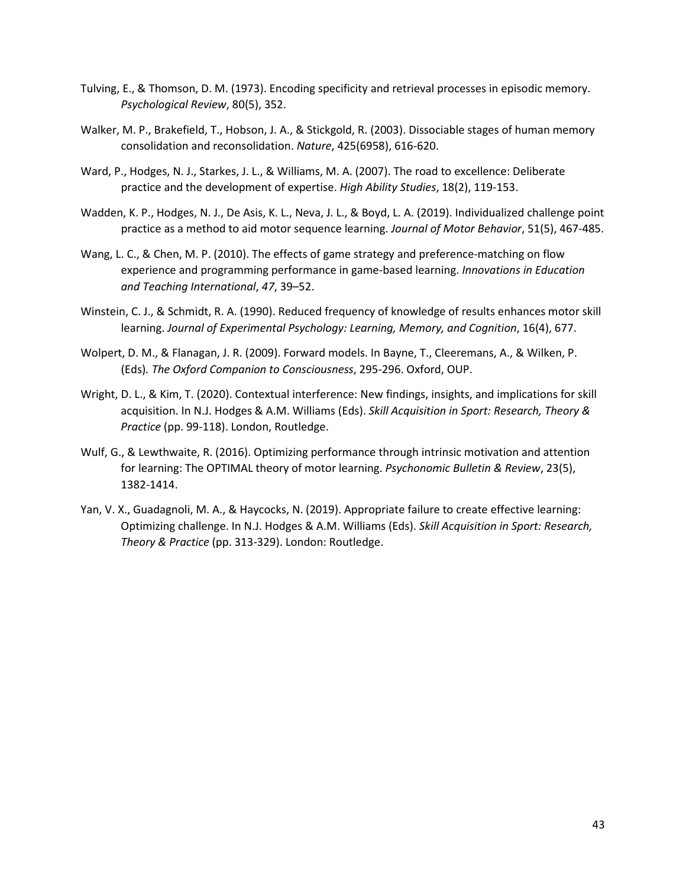- Tulving, E., & Thomson, D. M. (1973). Encoding specificity and retrieval processes in episodic memory. *Psychological Review*, 80(5), 352.
- Walker, M. P., Brakefield, T., Hobson, J. A., & Stickgold, R. (2003). Dissociable stages of human memory consolidation and reconsolidation. *Nature*, 425(6958), 616-620.
- Ward, P., Hodges, N. J., Starkes, J. L., & Williams, M. A. (2007). The road to excellence: Deliberate practice and the development of expertise. *High Ability Studies*, 18(2), 119-153.
- Wadden, K. P., Hodges, N. J., De Asis, K. L., Neva, J. L., & Boyd, L. A. (2019). Individualized challenge point practice as a method to aid motor sequence learning. *Journal of Motor Behavior*, 51(5), 467-485.
- Wang, L. C., & Chen, M. P. (2010). The effects of game strategy and preference-matching on flow experience and programming performance in game-based learning. *Innovations in Education and Teaching International*, *47*, 39–52.
- Winstein, C. J., & Schmidt, R. A. (1990). Reduced frequency of knowledge of results enhances motor skill learning. *Journal of Experimental Psychology: Learning, Memory, and Cognition*, 16(4), 677.
- Wolpert, D. M., & Flanagan, J. R. (2009). Forward models. In Bayne, T., Cleeremans, A., & Wilken, P. (Eds)*. The Oxford Companion to Consciousness*, 295-296. Oxford, OUP.
- Wright, D. L., & Kim, T. (2020). Contextual interference: New findings, insights, and implications for skill acquisition. In N.J. Hodges & A.M. Williams (Eds). *Skill Acquisition in Sport: Research, Theory & Practice* (pp. 99-118). London, Routledge.
- Wulf, G., & Lewthwaite, R. (2016). Optimizing performance through intrinsic motivation and attention for learning: The OPTIMAL theory of motor learning. *Psychonomic Bulletin & Review*, 23(5), 1382-1414.
- Yan, V. X., Guadagnoli, M. A., & Haycocks, N. (2019). Appropriate failure to create effective learning: Optimizing challenge. In N.J. Hodges & A.M. Williams (Eds). *Skill Acquisition in Sport: Research, Theory & Practice* (pp. 313-329). London: Routledge.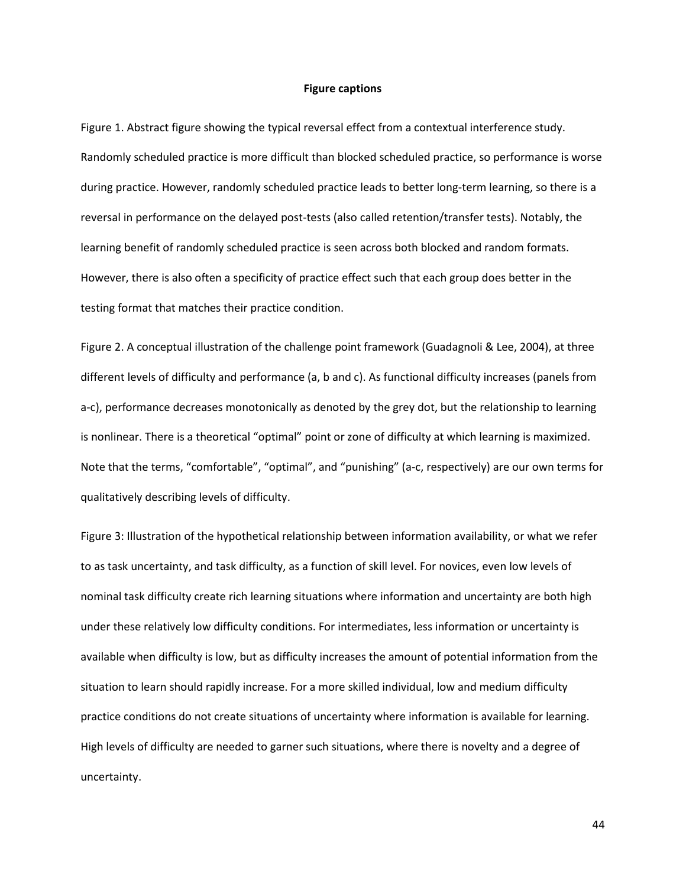#### **Figure captions**

Figure 1. Abstract figure showing the typical reversal effect from a contextual interference study. Randomly scheduled practice is more difficult than blocked scheduled practice, so performance is worse during practice. However, randomly scheduled practice leads to better long-term learning, so there is a reversal in performance on the delayed post-tests (also called retention/transfer tests). Notably, the learning benefit of randomly scheduled practice is seen across both blocked and random formats. However, there is also often a specificity of practice effect such that each group does better in the testing format that matches their practice condition.

Figure 2. A conceptual illustration of the challenge point framework (Guadagnoli & Lee, 2004), at three different levels of difficulty and performance (a, b and c). As functional difficulty increases (panels from a-c), performance decreases monotonically as denoted by the grey dot, but the relationship to learning is nonlinear. There is a theoretical "optimal" point or zone of difficulty at which learning is maximized. Note that the terms, "comfortable", "optimal", and "punishing" (a-c, respectively) are our own terms for qualitatively describing levels of difficulty.

Figure 3: Illustration of the hypothetical relationship between information availability, or what we refer to as task uncertainty, and task difficulty, as a function of skill level. For novices, even low levels of nominal task difficulty create rich learning situations where information and uncertainty are both high under these relatively low difficulty conditions. For intermediates, less information or uncertainty is available when difficulty is low, but as difficulty increases the amount of potential information from the situation to learn should rapidly increase. For a more skilled individual, low and medium difficulty practice conditions do not create situations of uncertainty where information is available for learning. High levels of difficulty are needed to garner such situations, where there is novelty and a degree of uncertainty.